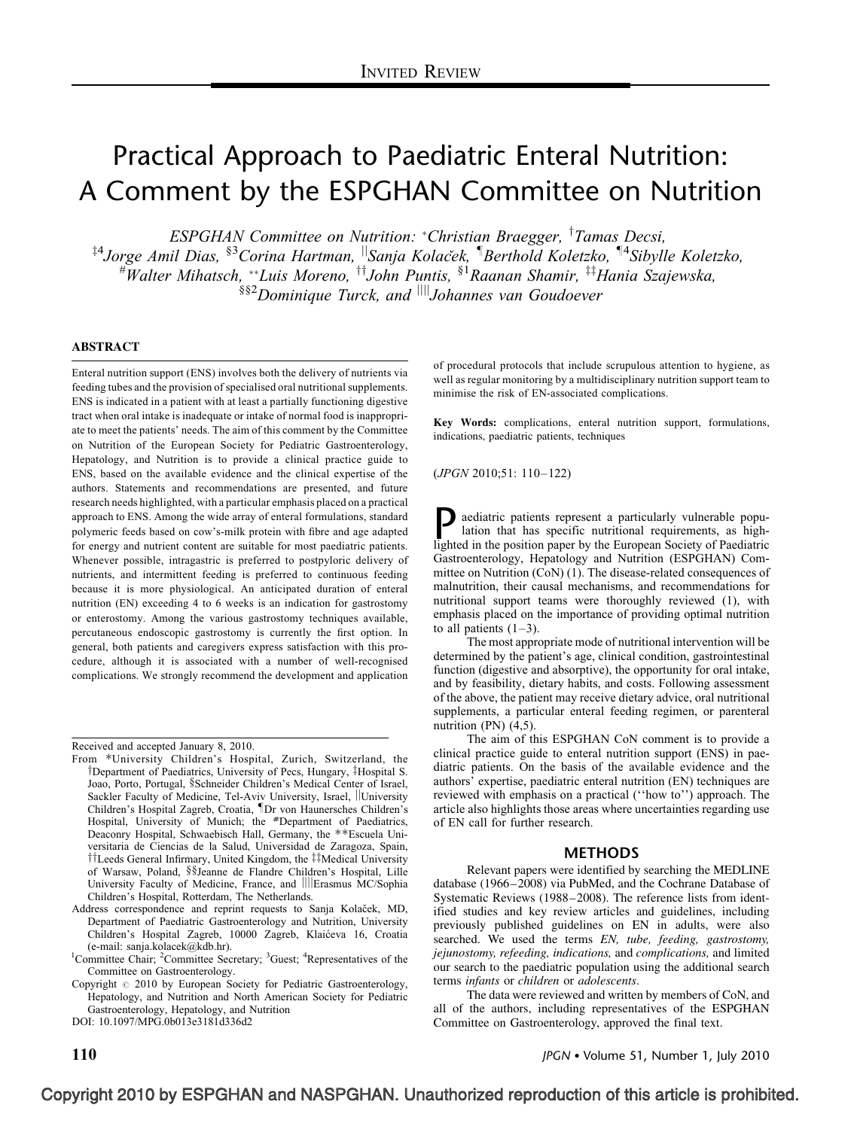# Practical Approach to Paediatric Enteral Nutrition: A Comment by the ESPGHAN Committee on Nutrition

ESPGHAN Committee on Nutrition: \*Christian Braegger, <sup>†</sup>Tamas Decsi,

<sup>‡4</sup>Jorge Amil Dias, <sup>§3</sup>Corina Hartman, <sup>||</sup>Sanja Kolaček, <sup>¶</sup>Berthold Koletzko, <sup>¶4</sup>Sibylle Koletzko,<br><sup>#</sup>Walter Mihatsch, \*\*Luis Moreno, <sup>††</sup>John Puntis, <sup>§1</sup>Raanan Shamir, <sup>‡‡</sup>Hania Szajewska,  $\S$ §§2Dominique Turck, and  $\Box$ Iohannes van Goudoever

#### ABSTRACT

Enteral nutrition support (ENS) involves both the delivery of nutrients via feeding tubes and the provision of specialised oral nutritional supplements. ENS is indicated in a patient with at least a partially functioning digestive tract when oral intake is inadequate or intake of normal food is inappropriate to meet the patients' needs. The aim of this comment by the Committee on Nutrition of the European Society for Pediatric Gastroenterology, Hepatology, and Nutrition is to provide a clinical practice guide to ENS, based on the available evidence and the clinical expertise of the authors. Statements and recommendations are presented, and future research needs highlighted, with a particular emphasis placed on a practical approach to ENS. Among the wide array of enteral formulations, standard polymeric feeds based on cow's-milk protein with fibre and age adapted for energy and nutrient content are suitable for most paediatric patients. Whenever possible, intragastric is preferred to postpyloric delivery of nutrients, and intermittent feeding is preferred to continuous feeding because it is more physiological. An anticipated duration of enteral nutrition (EN) exceeding 4 to 6 weeks is an indication for gastrostomy or enterostomy. Among the various gastrostomy techniques available, percutaneous endoscopic gastrostomy is currently the first option. In general, both patients and caregivers express satisfaction with this procedure, although it is associated with a number of well-recognised complications. We strongly recommend the development and application

Received and accepted January 8, 2010.

- From \*University Children's Hospital, Zurich, Switzerland, the <sup>†</sup>Department of Paediatrics, University of Pecs, Hungary, ‡Hospital S. Joao, Porto, Portugal, §Schneider Children's Medical Center of Israel, Sackler Faculty of Medicine, Tel-Aviv University, Israel, *University* Children's Hospital Zagreb, Croatia, Dr von Haunersches Children's Hospital, University of Munich; the *#*Department of Paediatrics, Deaconry Hospital, Schwaebisch Hall, Germany, the \*\*Escuela Universitaria de Ciencias de la Salud, Universidad de Zaragoza, Spain, <sup>†</sup>†Leeds General Infirmary, United Kingdom, the ‡‡Medical University of Warsaw, Poland, §§Jeanne de Flandre Children's Hospital, Lille University Faculty of Medicine, France, and ||||Erasmus MC/Sophia Children's Hospital, Rotterdam, The Netherlands.
- Address correspondence and reprint requests to Sanja Kolaček, MD, Department of Paediatric Gastroenterology and Nutrition, University Children's Hospital Zagreb, 10000 Zagreb, Klaićeva 16, Croatia (e-mail: [sanja.kolacek@kdb.hr](mailto:sanja.kolacek@kdb.hr)). <sup>1</sup>
- Committee Chair; <sup>2</sup>Committee Secretary; <sup>3</sup>Guest; <sup>4</sup>Representatives of the Committee on Gastroenterology.
- Copyright  $@$  2010 by European Society for Pediatric Gastroenterology, Hepatology, and Nutrition and North American Society for Pediatric Gastroenterology, Hepatology, and Nutrition

DOI: [10.1097/MPG.0b013e3181d336d2](http://dx.doi.org/10.1097/MPG.0b013e3181d336d2)

of procedural protocols that include scrupulous attention to hygiene, as well as regular monitoring by a multidisciplinary nutrition support team to minimise the risk of EN-associated complications.

Key Words: complications, enteral nutrition support, formulations, indications, paediatric patients, techniques

(JPGN 2010;51: 110–122)

aediatric patients represent a particularly vulnerable population that has specific nutritional requirements, as highlighted in the position paper by the European Society of Paediatric Gastroenterology, Hepatology and Nutrition (ESPGHAN) Committee on Nutrition (CoN) [\(1\)](#page-9-0). The disease-related consequences of malnutrition, their causal mechanisms, and recommendations for nutritional support teams were thoroughly reviewed [\(1\),](#page-9-0) with emphasis placed on the importance of providing optimal nutrition to all patients  $(1-3)$ .

The most appropriate mode of nutritional intervention will be determined by the patient's age, clinical condition, gastrointestinal function (digestive and absorptive), the opportunity for oral intake, and by feasibility, dietary habits, and costs. Following assessment of the above, the patient may receive dietary advice, oral nutritional supplements, a particular enteral feeding regimen, or parenteral nutrition (PN) [\(4,5\).](#page-9-0)

The aim of this ESPGHAN CoN comment is to provide a clinical practice guide to enteral nutrition support (ENS) in paediatric patients. On the basis of the available evidence and the authors' expertise, paediatric enteral nutrition (EN) techniques are reviewed with emphasis on a practical (''how to'') approach. The article also highlights those areas where uncertainties regarding use of EN call for further research.

#### **METHODS**

Relevant papers were identified by searching the MEDLINE database (1966–2008) via PubMed, and the Cochrane Database of Systematic Reviews (1988–2008). The reference lists from identified studies and key review articles and guidelines, including previously published guidelines on EN in adults, were also searched. We used the terms EN, tube, feeding, gastrostomy, jejunostomy, refeeding, indications, and complications, and limited our search to the paediatric population using the additional search terms infants or children or adolescents.

The data were reviewed and written by members of CoN, and all of the authors, including representatives of the ESPGHAN Committee on Gastroenterology, approved the final text.

 $110$  JPGN  $\cdot$ JPGN • Volume 51, Number 1, July 2010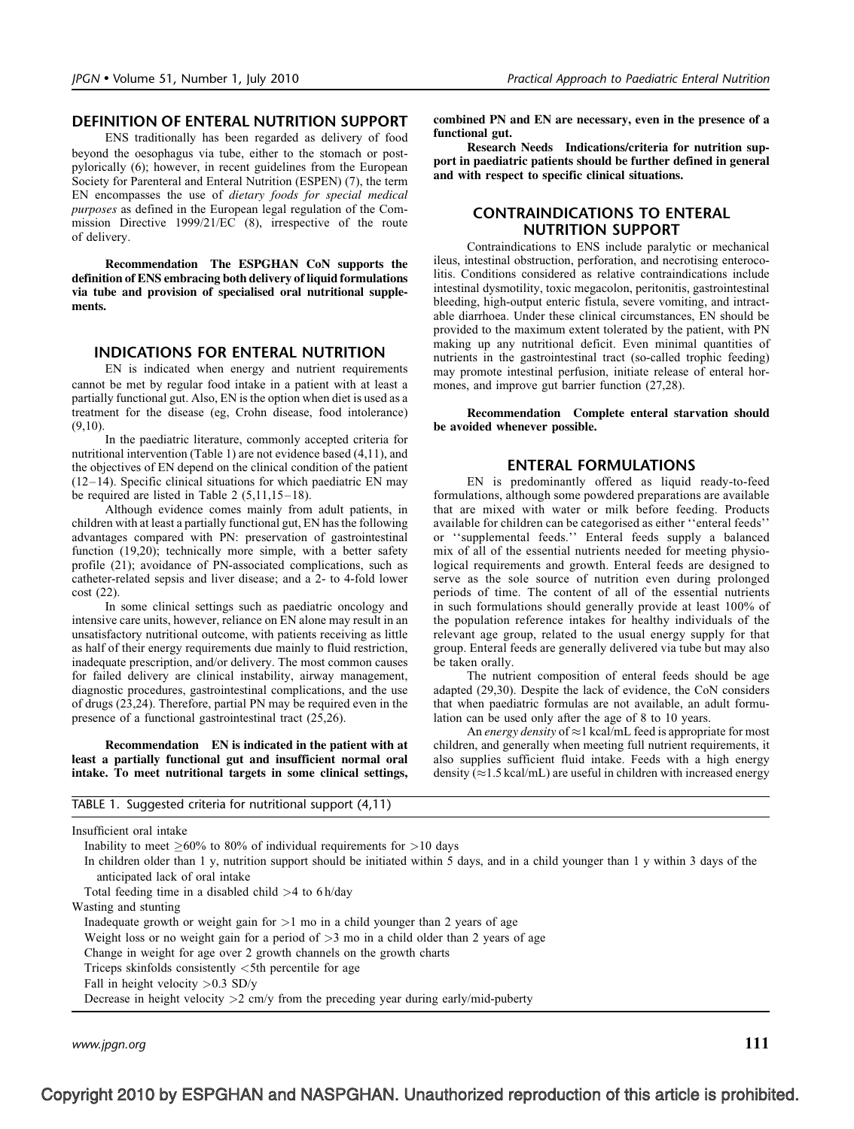# DEFINITION OF ENTERAL NUTRITION SUPPORT

ENS traditionally has been regarded as delivery of food beyond the oesophagus via tube, either to the stomach or postpylorically [\(6\);](#page-9-0) however, in recent guidelines from the European Society for Parenteral and Enteral Nutrition (ESPEN) [\(7\)](#page-9-0), the term EN encompasses the use of dietary foods for special medical purposes as defined in the European legal regulation of the Commission Directive 1999/21/EC [\(8\)](#page-9-0), irrespective of the route of delivery.

Recommendation The ESPGHAN CoN supports the definition of ENS embracing both delivery of liquid formulations via tube and provision of specialised oral nutritional supplements.

#### INDICATIONS FOR ENTERAL NUTRITION

EN is indicated when energy and nutrient requirements cannot be met by regular food intake in a patient with at least a partially functional gut. Also, EN is the option when diet is used as a treatment for the disease (eg, Crohn disease, food intolerance)  $(9,10)$ .

In the paediatric literature, commonly accepted criteria for nutritional intervention (Table 1) are not evidence based [\(4,11\),](#page-9-0) and the objectives of EN depend on the clinical condition of the patient  $(12-14)$ . Specific clinical situations for which paediatric EN may be required are listed in [Table 2](#page-2-0) [\(5,11,15–18\).](#page-9-0)

Although evidence comes mainly from adult patients, in children with at least a partially functional gut, EN has the following advantages compared with PN: preservation of gastrointestinal function [\(19,20\);](#page-10-0) technically more simple, with a better safety profile [\(21\);](#page-10-0) avoidance of PN-associated complications, such as catheter-related sepsis and liver disease; and a 2- to 4-fold lower cost [\(22\)](#page-10-0).

In some clinical settings such as paediatric oncology and intensive care units, however, reliance on EN alone may result in an unsatisfactory nutritional outcome, with patients receiving as little as half of their energy requirements due mainly to fluid restriction, inadequate prescription, and/or delivery. The most common causes for failed delivery are clinical instability, airway management, diagnostic procedures, gastrointestinal complications, and the use of drugs [\(23,24\).](#page-10-0) Therefore, partial PN may be required even in the presence of a functional gastrointestinal tract [\(25,26\).](#page-10-0)

Recommendation EN is indicated in the patient with at least a partially functional gut and insufficient normal oral intake. To meet nutritional targets in some clinical settings,

combined PN and EN are necessary, even in the presence of a functional gut.

Research Needs Indications/criteria for nutrition support in paediatric patients should be further defined in general and with respect to specific clinical situations.

# CONTRAINDICATIONS TO ENTERAL NUTRITION SUPPORT

Contraindications to ENS include paralytic or mechanical ileus, intestinal obstruction, perforation, and necrotising enterocolitis. Conditions considered as relative contraindications include intestinal dysmotility, toxic megacolon, peritonitis, gastrointestinal bleeding, high-output enteric fistula, severe vomiting, and intractable diarrhoea. Under these clinical circumstances, EN should be provided to the maximum extent tolerated by the patient, with PN making up any nutritional deficit. Even minimal quantities of nutrients in the gastrointestinal tract (so-called trophic feeding) may promote intestinal perfusion, initiate release of enteral hormones, and improve gut barrier function [\(27,28\).](#page-10-0)

Recommendation Complete enteral starvation should be avoided whenever possible.

# ENTERAL FORMULATIONS

EN is predominantly offered as liquid ready-to-feed formulations, although some powdered preparations are available that are mixed with water or milk before feeding. Products available for children can be categorised as either ''enteral feeds'' or ''supplemental feeds.'' Enteral feeds supply a balanced mix of all of the essential nutrients needed for meeting physiological requirements and growth. Enteral feeds are designed to serve as the sole source of nutrition even during prolonged periods of time. The content of all of the essential nutrients in such formulations should generally provide at least 100% of the population reference intakes for healthy individuals of the relevant age group, related to the usual energy supply for that group. Enteral feeds are generally delivered via tube but may also be taken orally.

The nutrient composition of enteral feeds should be age adapted [\(29,30\).](#page-10-0) Despite the lack of evidence, the CoN considers that when paediatric formulas are not available, an adult formulation can be used only after the age of 8 to 10 years.

An energy density of  $\approx$ 1 kcal/mL feed is appropriate for most children, and generally when meeting full nutrient requirements, it also supplies sufficient fluid intake. Feeds with a high energy density ( $\approx$ 1.5 kcal/mL) are useful in children with increased energy

| TABLE 1. Suggested criteria for nutritional support (4,11) |
|------------------------------------------------------------|
|------------------------------------------------------------|

| Insufficient oral intake                                                                                                              |
|---------------------------------------------------------------------------------------------------------------------------------------|
| Inability to meet $>60\%$ to 80% of individual requirements for $>10$ days                                                            |
| In children older than 1 y, nutrition support should be initiated within 5 days, and in a child younger than 1 y within 3 days of the |
| anticipated lack of oral intake                                                                                                       |
| Total feeding time in a disabled child $>4$ to 6 h/day                                                                                |
| Wasting and stunting                                                                                                                  |
| Inadequate growth or weight gain for $>1$ mo in a child younger than 2 years of age                                                   |
| Weight loss or no weight gain for a period of $>3$ mo in a child older than 2 years of age                                            |
| Change in weight for age over 2 growth channels on the growth charts                                                                  |
| Triceps skinfolds consistently $\lt$ 5th percentile for age                                                                           |
| Fall in height velocity $>0.3$ SD/y                                                                                                   |
| Decrease in height velocity $>2$ cm/y from the preceding year during early/mid-puberty                                                |
|                                                                                                                                       |

www.jpgn.org 111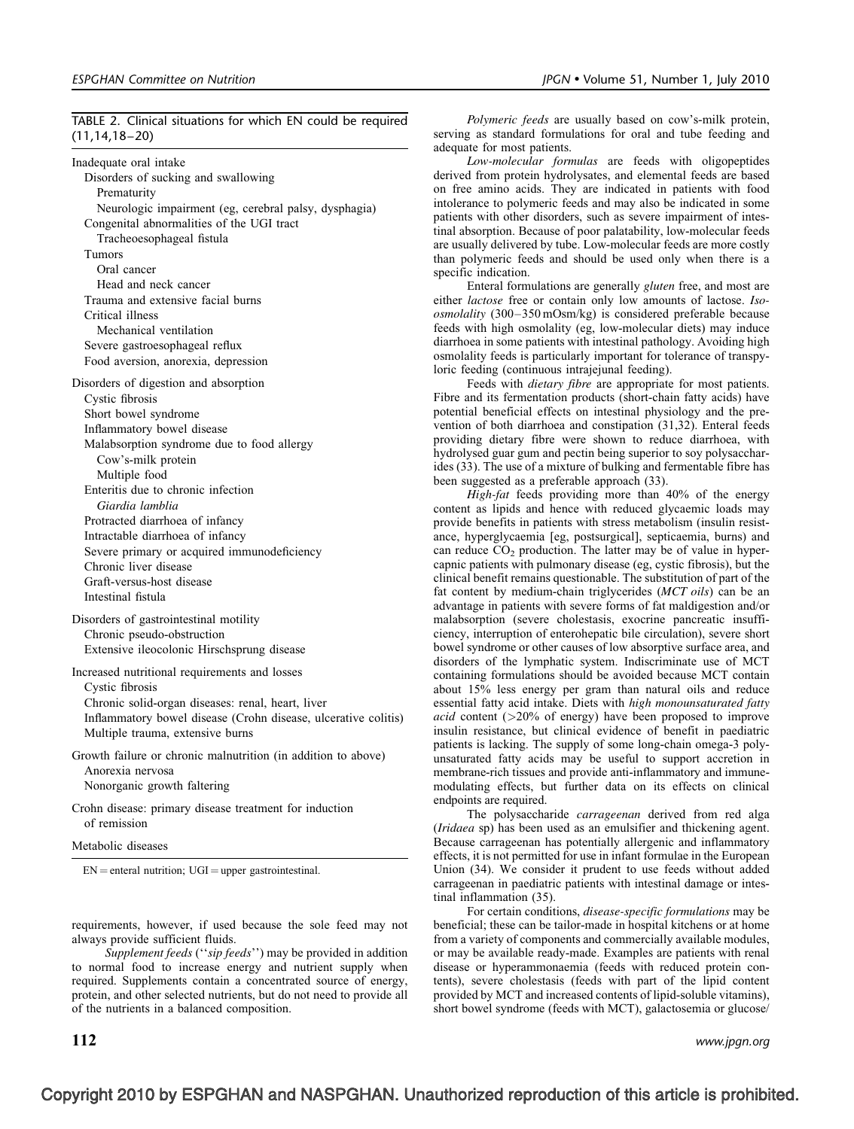<span id="page-2-0"></span>

|               | TABLE 2. Clinical situations for which EN could be required |  |  |  |
|---------------|-------------------------------------------------------------|--|--|--|
| (11,14,18–20) |                                                             |  |  |  |

Inadequate oral intake Disorders of sucking and swallowing **Prematurity** Neurologic impairment (eg, cerebral palsy, dysphagia) Congenital abnormalities of the UGI tract Tracheoesophageal fistula Tumors Oral cancer Head and neck cancer Trauma and extensive facial burns Critical illness Mechanical ventilation Severe gastroesophageal reflux Food aversion, anorexia, depression Disorders of digestion and absorption Cystic fibrosis Short bowel syndrome Inflammatory bowel disease Malabsorption syndrome due to food allergy Cow's-milk protein Multiple food Enteritis due to chronic infection Giardia lamblia Protracted diarrhoea of infancy Intractable diarrhoea of infancy Severe primary or acquired immunodeficiency Chronic liver disease Graft-versus-host disease Intestinal fistula Disorders of gastrointestinal motility Chronic pseudo-obstruction Extensive ileocolonic Hirschsprung disease

Increased nutritional requirements and losses

Cystic fibrosis

Chronic solid-organ diseases: renal, heart, liver Inflammatory bowel disease (Crohn disease, ulcerative colitis) Multiple trauma, extensive burns

Growth failure or chronic malnutrition (in addition to above) Anorexia nervosa

Nonorganic growth faltering

Crohn disease: primary disease treatment for induction of remission

Metabolic diseases

 $EN =$  enteral nutrition;  $UGI =$  upper gastrointestinal.

requirements, however, if used because the sole feed may not always provide sufficient fluids.

Supplement feeds ("sip feeds") may be provided in addition to normal food to increase energy and nutrient supply when required. Supplements contain a concentrated source of energy, protein, and other selected nutrients, but do not need to provide all of the nutrients in a balanced composition.

Low-molecular formulas are feeds with oligopeptides derived from protein hydrolysates, and elemental feeds are based on free amino acids. They are indicated in patients with food intolerance to polymeric feeds and may also be indicated in some patients with other disorders, such as severe impairment of intestinal absorption. Because of poor palatability, low-molecular feeds are usually delivered by tube. Low-molecular feeds are more costly than polymeric feeds and should be used only when there is a specific indication.

Enteral formulations are generally gluten free, and most are either lactose free or contain only low amounts of lactose. Isoosmolality (300–350 mOsm/kg) is considered preferable because feeds with high osmolality (eg, low-molecular diets) may induce diarrhoea in some patients with intestinal pathology. Avoiding high osmolality feeds is particularly important for tolerance of transpyloric feeding (continuous intrajejunal feeding).

Feeds with *dietary fibre* are appropriate for most patients. Fibre and its fermentation products (short-chain fatty acids) have potential beneficial effects on intestinal physiology and the prevention of both diarrhoea and constipation [\(31,32\)](#page-10-0). Enteral feeds providing dietary fibre were shown to reduce diarrhoea, with hydrolysed guar gum and pectin being superior to soy polysaccharides [\(33\).](#page-10-0) The use of a mixture of bulking and fermentable fibre has been suggested as a preferable approach [\(33\).](#page-10-0)

High-fat feeds providing more than 40% of the energy content as lipids and hence with reduced glycaemic loads may provide benefits in patients with stress metabolism (insulin resistance, hyperglycaemia [eg, postsurgical], septicaemia, burns) and can reduce  $CO<sub>2</sub>$  production. The latter may be of value in hypercapnic patients with pulmonary disease (eg, cystic fibrosis), but the clinical benefit remains questionable. The substitution of part of the fat content by medium-chain triglycerides (MCT oils) can be an advantage in patients with severe forms of fat maldigestion and/or malabsorption (severe cholestasis, exocrine pancreatic insufficiency, interruption of enterohepatic bile circulation), severe short bowel syndrome or other causes of low absorptive surface area, and disorders of the lymphatic system. Indiscriminate use of MCT containing formulations should be avoided because MCT contain about 15% less energy per gram than natural oils and reduce essential fatty acid intake. Diets with high monounsaturated fatty acid content (>20% of energy) have been proposed to improve insulin resistance, but clinical evidence of benefit in paediatric patients is lacking. The supply of some long-chain omega-3 polyunsaturated fatty acids may be useful to support accretion in membrane-rich tissues and provide anti-inflammatory and immunemodulating effects, but further data on its effects on clinical endpoints are required.

The polysaccharide carrageenan derived from red alga (Iridaea sp) has been used as an emulsifier and thickening agent. Because carrageenan has potentially allergenic and inflammatory effects, it is not permitted for use in infant formulae in the European Union [\(34\).](#page-10-0) We consider it prudent to use feeds without added carrageenan in paediatric patients with intestinal damage or intestinal inflammation [\(35\).](#page-10-0)

For certain conditions, disease-specific formulations may be beneficial; these can be tailor-made in hospital kitchens or at home from a variety of components and commercially available modules, or may be available ready-made. Examples are patients with renal disease or hyperammonaemia (feeds with reduced protein contents), severe cholestasis (feeds with part of the lipid content provided by MCT and increased contents of lipid-soluble vitamins), short bowel syndrome (feeds with MCT), galactosemia or glucose/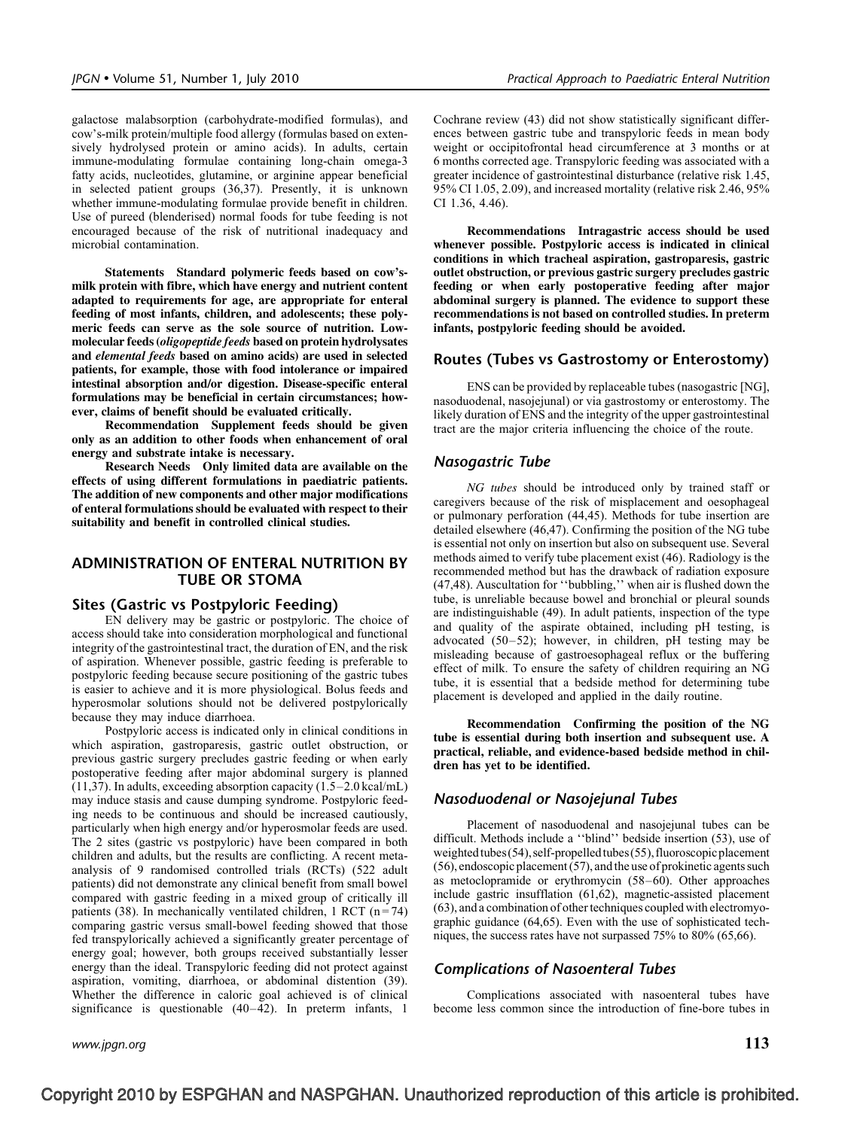galactose malabsorption (carbohydrate-modified formulas), and cow's-milk protein/multiple food allergy (formulas based on extensively hydrolysed protein or amino acids). In adults, certain immune-modulating formulae containing long-chain omega-3 fatty acids, nucleotides, glutamine, or arginine appear beneficial in selected patient groups [\(36,37\).](#page-10-0) Presently, it is unknown whether immune-modulating formulae provide benefit in children. Use of pureed (blenderised) normal foods for tube feeding is not encouraged because of the risk of nutritional inadequacy and microbial contamination.

Statements Standard polymeric feeds based on cow'smilk protein with fibre, which have energy and nutrient content adapted to requirements for age, are appropriate for enteral feeding of most infants, children, and adolescents; these polymeric feeds can serve as the sole source of nutrition. Lowmolecular feeds (oligopeptide feeds based on protein hydrolysates and elemental feeds based on amino acids) are used in selected patients, for example, those with food intolerance or impaired intestinal absorption and/or digestion. Disease-specific enteral formulations may be beneficial in certain circumstances; however, claims of benefit should be evaluated critically.

Recommendation Supplement feeds should be given only as an addition to other foods when enhancement of oral energy and substrate intake is necessary.

Research Needs Only limited data are available on the effects of using different formulations in paediatric patients. The addition of new components and other major modifications of enteral formulations should be evaluated with respect to their suitability and benefit in controlled clinical studies.

# ADMINISTRATION OF ENTERAL NUTRITION BY TUBE OR STOMA

#### Sites (Gastric vs Postpyloric Feeding)

EN delivery may be gastric or postpyloric. The choice of access should take into consideration morphological and functional integrity of the gastrointestinal tract, the duration of EN, and the risk of aspiration. Whenever possible, gastric feeding is preferable to postpyloric feeding because secure positioning of the gastric tubes is easier to achieve and it is more physiological. Bolus feeds and hyperosmolar solutions should not be delivered postpylorically because they may induce diarrhoea.

Postpyloric access is indicated only in clinical conditions in which aspiration, gastroparesis, gastric outlet obstruction, or previous gastric surgery precludes gastric feeding or when early postoperative feeding after major abdominal surgery is planned [\(11,37\)](#page-9-0). In adults, exceeding absorption capacity (1.5–2.0 kcal/mL) may induce stasis and cause dumping syndrome. Postpyloric feeding needs to be continuous and should be increased cautiously, particularly when high energy and/or hyperosmolar feeds are used. The 2 sites (gastric vs postpyloric) have been compared in both children and adults, but the results are conflicting. A recent metaanalysis of 9 randomised controlled trials (RCTs) (522 adult patients) did not demonstrate any clinical benefit from small bowel compared with gastric feeding in a mixed group of critically ill patients [\(38\).](#page-10-0) In mechanically ventilated children, 1 RCT  $(n=74)$ comparing gastric versus small-bowel feeding showed that those fed transpylorically achieved a significantly greater percentage of energy goal; however, both groups received substantially lesser energy than the ideal. Transpyloric feeding did not protect against aspiration, vomiting, diarrhoea, or abdominal distention [\(39\).](#page-10-0) Whether the difference in caloric goal achieved is of clinical significance is questionable [\(40–42\)](#page-10-0). In preterm infants, 1

www.jpgn.org 113

Cochrane review [\(43\)](#page-10-0) did not show statistically significant differences between gastric tube and transpyloric feeds in mean body weight or occipitofrontal head circumference at 3 months or at 6 months corrected age. Transpyloric feeding was associated with a greater incidence of gastrointestinal disturbance (relative risk 1.45, 95% CI 1.05, 2.09), and increased mortality (relative risk 2.46, 95% CI 1.36, 4.46).

Recommendations Intragastric access should be used whenever possible. Postpyloric access is indicated in clinical conditions in which tracheal aspiration, gastroparesis, gastric outlet obstruction, or previous gastric surgery precludes gastric feeding or when early postoperative feeding after major abdominal surgery is planned. The evidence to support these recommendations is not based on controlled studies. In preterm infants, postpyloric feeding should be avoided.

# Routes (Tubes vs Gastrostomy or Enterostomy)

ENS can be provided by replaceable tubes (nasogastric [NG], nasoduodenal, nasojejunal) or via gastrostomy or enterostomy. The likely duration of ENS and the integrity of the upper gastrointestinal tract are the major criteria influencing the choice of the route.

# Nasogastric Tube

NG tubes should be introduced only by trained staff or caregivers because of the risk of misplacement and oesophageal or pulmonary perforation [\(44,45\).](#page-10-0) Methods for tube insertion are detailed elsewhere [\(46,47\)](#page-10-0). Confirming the position of the NG tube is essential not only on insertion but also on subsequent use. Several methods aimed to verify tube placement exist [\(46\).](#page-10-0) Radiology is the recommended method but has the drawback of radiation exposure [\(47,48\)](#page-10-0). Auscultation for ''bubbling,'' when air is flushed down the tube, is unreliable because bowel and bronchial or pleural sounds are indistinguishable [\(49\)](#page-10-0). In adult patients, inspection of the type and quality of the aspirate obtained, including pH testing, is advocated [\(50–52\);](#page-10-0) however, in children, pH testing may be misleading because of gastroesophageal reflux or the buffering effect of milk. To ensure the safety of children requiring an NG tube, it is essential that a bedside method for determining tube placement is developed and applied in the daily routine.

Recommendation Confirming the position of the NG tube is essential during both insertion and subsequent use. A practical, reliable, and evidence-based bedside method in children has yet to be identified.

# Nasoduodenal or Nasojejunal Tubes

Placement of nasoduodenal and nasojejunal tubes can be difficult. Methods include a ''blind'' bedside insertion [\(53\)](#page-10-0), use of weighted tubes [\(54\)](#page-10-0), self-propelled tubes [\(55\)](#page-10-0), fluoroscopic placement [\(56\)](#page-10-0), endoscopic placement [\(57\)](#page-10-0), and the use of prokinetic agents such as metoclopramide or erythromycin [\(58–60\)](#page-10-0). Other approaches include gastric insufflation [\(61,62\)](#page-10-0), magnetic-assisted placement [\(63\)](#page-10-0), and a combination of other techniques coupled with electromyographic guidance [\(64,65\).](#page-10-0) Even with the use of sophisticated techniques, the success rates have not surpassed 75% to 80% [\(65,66\)](#page-10-0).

# Complications of Nasoenteral Tubes

Complications associated with nasoenteral tubes have become less common since the introduction of fine-bore tubes in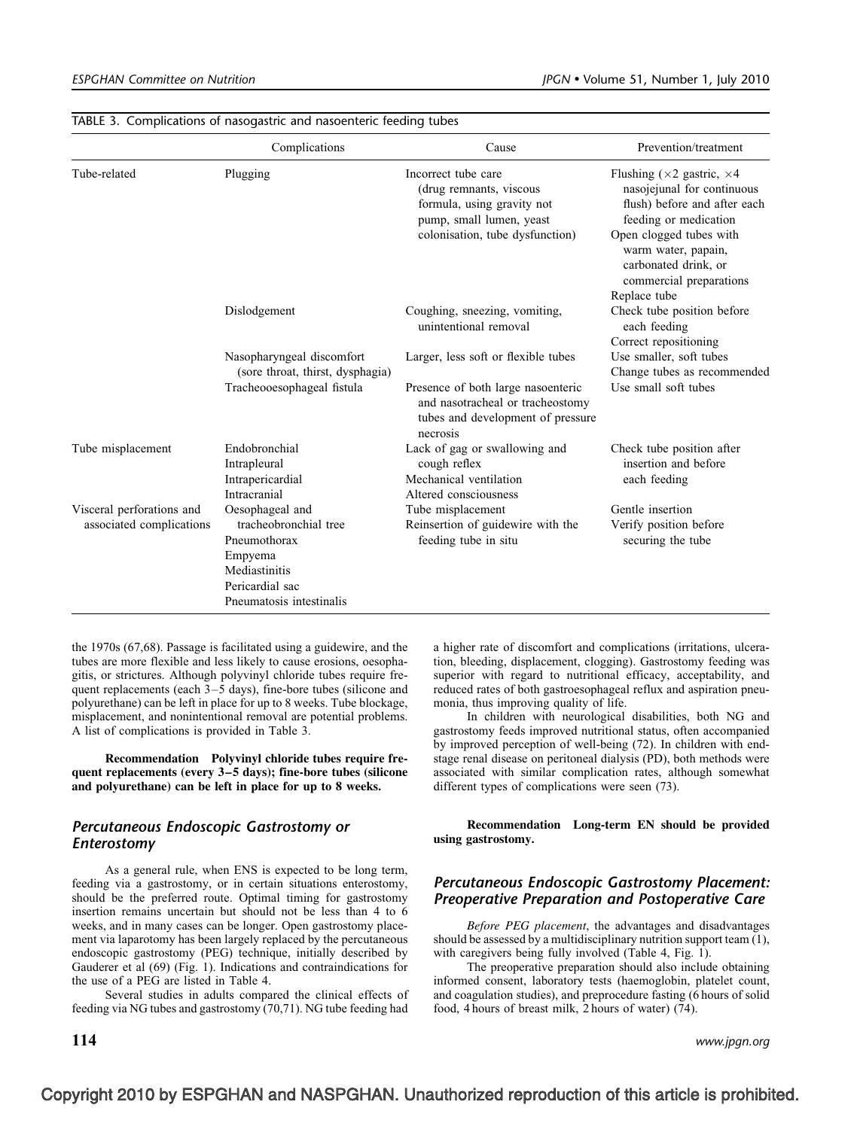|                           | Complications                                                 | Cause                                                                                                                   | Prevention/treatment                                                                                                             |  |
|---------------------------|---------------------------------------------------------------|-------------------------------------------------------------------------------------------------------------------------|----------------------------------------------------------------------------------------------------------------------------------|--|
| Tube-related              | Plugging                                                      | Incorrect tube care<br>(drug remnants, viscous<br>formula, using gravity not<br>pump, small lumen, yeast                | Flushing ( $\times$ 2 gastric, $\times$ 4<br>nasojejunal for continuous<br>flush) before and after each<br>feeding or medication |  |
|                           |                                                               | colonisation, tube dysfunction)                                                                                         | Open clogged tubes with<br>warm water, papain,<br>carbonated drink, or<br>commercial preparations                                |  |
|                           | Dislodgement                                                  | Coughing, sneezing, vomiting,<br>unintentional removal                                                                  | Replace tube<br>Check tube position before<br>each feeding<br>Correct repositioning                                              |  |
|                           | Nasopharyngeal discomfort<br>(sore throat, thirst, dysphagia) | Larger, less soft or flexible tubes                                                                                     | Use smaller, soft tubes<br>Change tubes as recommended                                                                           |  |
|                           | Tracheooesophageal fistula                                    | Presence of both large nasoenteric<br>and nasotracheal or tracheostomy<br>tubes and development of pressure<br>necrosis | Use small soft tubes                                                                                                             |  |
| Tube misplacement         | Endobronchial<br>Intrapleural                                 | Lack of gag or swallowing and<br>cough reflex                                                                           | Check tube position after<br>insertion and before                                                                                |  |
|                           | Intrapericardial<br>Intracranial                              | Mechanical ventilation<br>Altered consciousness                                                                         | each feeding                                                                                                                     |  |
| Visceral perforations and | Oesophageal and                                               | Tube misplacement                                                                                                       | Gentle insertion                                                                                                                 |  |
| associated complications  | tracheobronchial tree                                         | Reinsertion of guidewire with the                                                                                       | Verify position before                                                                                                           |  |
|                           | Pneumothorax                                                  | feeding tube in situ                                                                                                    | securing the tube                                                                                                                |  |
|                           | Empyema                                                       |                                                                                                                         |                                                                                                                                  |  |
|                           | Mediastinitis                                                 |                                                                                                                         |                                                                                                                                  |  |
|                           | Pericardial sac                                               |                                                                                                                         |                                                                                                                                  |  |
|                           | Pneumatosis intestinalis                                      |                                                                                                                         |                                                                                                                                  |  |

<span id="page-4-0"></span>

|  | TABLE 3. Complications of nasogastric and nasoenteric feeding tubes |  |  |  |  |  |  |
|--|---------------------------------------------------------------------|--|--|--|--|--|--|
|--|---------------------------------------------------------------------|--|--|--|--|--|--|

the 1970s [\(67,68\)](#page-11-0). Passage is facilitated using a guidewire, and the tubes are more flexible and less likely to cause erosions, oesophagitis, or strictures. Although polyvinyl chloride tubes require frequent replacements (each 3–5 days), fine-bore tubes (silicone and polyurethane) can be left in place for up to 8 weeks. Tube blockage, misplacement, and nonintentional removal are potential problems. A list of complications is provided in Table 3.

Recommendation Polyvinyl chloride tubes require frequent replacements (every 3–5 days); fine-bore tubes (silicone and polyurethane) can be left in place for up to 8 weeks.

# Percutaneous Endoscopic Gastrostomy or Enterostomy

As a general rule, when ENS is expected to be long term, feeding via a gastrostomy, or in certain situations enterostomy, should be the preferred route. Optimal timing for gastrostomy insertion remains uncertain but should not be less than 4 to 6 weeks, and in many cases can be longer. Open gastrostomy placement via laparotomy has been largely replaced by the percutaneous endoscopic gastrostomy (PEG) technique, initially described by Gauderer et al [\(69\)](#page-11-0) ([Fig. 1](#page-5-0)). Indications and contraindications for the use of a PEG are listed in [Table 4.](#page-6-0)

Several studies in adults compared the clinical effects of feeding via NG tubes and gastrostomy [\(70,71\)](#page-11-0). NG tube feeding had

a higher rate of discomfort and complications (irritations, ulceration, bleeding, displacement, clogging). Gastrostomy feeding was superior with regard to nutritional efficacy, acceptability, and reduced rates of both gastroesophageal reflux and aspiration pneumonia, thus improving quality of life.

In children with neurological disabilities, both NG and gastrostomy feeds improved nutritional status, often accompanied by improved perception of well-being [\(72\).](#page-11-0) In children with endstage renal disease on peritoneal dialysis (PD), both methods were associated with similar complication rates, although somewhat different types of complications were seen [\(73\).](#page-11-0)

#### Recommendation Long-term EN should be provided using gastrostomy.

# Percutaneous Endoscopic Gastrostomy Placement: Preoperative Preparation and Postoperative Care

Before PEG placement, the advantages and disadvantages should be assessed by a multidisciplinary nutrition support team  $(1)$ , with caregivers being fully involved ([Table 4,](#page-6-0) [Fig. 1\)](#page-5-0).

The preoperative preparation should also include obtaining informed consent, laboratory tests (haemoglobin, platelet count, and coagulation studies), and preprocedure fasting (6 hours of solid food, 4 hours of breast milk, 2 hours of water) [\(74\).](#page-11-0)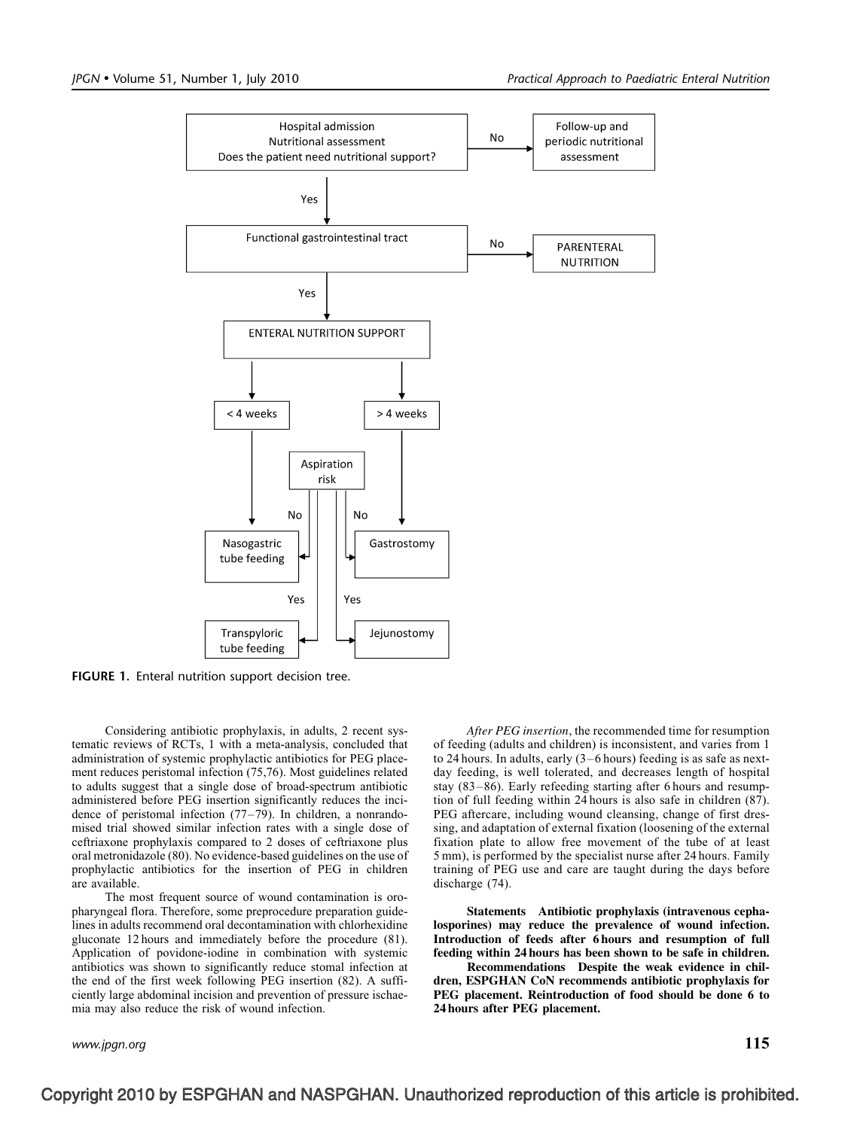<span id="page-5-0"></span>

FIGURE 1. Enteral nutrition support decision tree.

Considering antibiotic prophylaxis, in adults, 2 recent systematic reviews of RCTs, 1 with a meta-analysis, concluded that administration of systemic prophylactic antibiotics for PEG placement reduces peristomal infection [\(75,76\)](#page-11-0). Most guidelines related to adults suggest that a single dose of broad-spectrum antibiotic administered before PEG insertion significantly reduces the incidence of peristomal infection [\(77–79\)](#page-11-0). In children, a nonrandomised trial showed similar infection rates with a single dose of ceftriaxone prophylaxis compared to 2 doses of ceftriaxone plus oral metronidazole [\(80\).](#page-11-0) No evidence-based guidelines on the use of prophylactic antibiotics for the insertion of PEG in children are available.

The most frequent source of wound contamination is oropharyngeal flora. Therefore, some preprocedure preparation guidelines in adults recommend oral decontamination with chlorhexidine gluconate 12 hours and immediately before the procedure [\(81\).](#page-11-0) Application of povidone-iodine in combination with systemic antibiotics was shown to significantly reduce stomal infection at the end of the first week following PEG insertion [\(82\).](#page-11-0) A sufficiently large abdominal incision and prevention of pressure ischaemia may also reduce the risk of wound infection.

After PEG insertion, the recommended time for resumption of feeding (adults and children) is inconsistent, and varies from 1 to 24 hours. In adults, early (3–6 hours) feeding is as safe as nextday feeding, is well tolerated, and decreases length of hospital stay [\(83–86\).](#page-11-0) Early refeeding starting after 6 hours and resumption of full feeding within 24 hours is also safe in children [\(87\)](#page-11-0). PEG aftercare, including wound cleansing, change of first dressing, and adaptation of external fixation (loosening of the external fixation plate to allow free movement of the tube of at least 5 mm), is performed by the specialist nurse after 24 hours. Family training of PEG use and care are taught during the days before discharge [\(74\)](#page-11-0).

Statements Antibiotic prophylaxis (intravenous cephalosporines) may reduce the prevalence of wound infection. Introduction of feeds after 6 hours and resumption of full feeding within 24 hours has been shown to be safe in children.

Recommendations Despite the weak evidence in children, ESPGHAN CoN recommends antibiotic prophylaxis for PEG placement. Reintroduction of food should be done 6 to 24 hours after PEG placement.

www.jpgn.org 115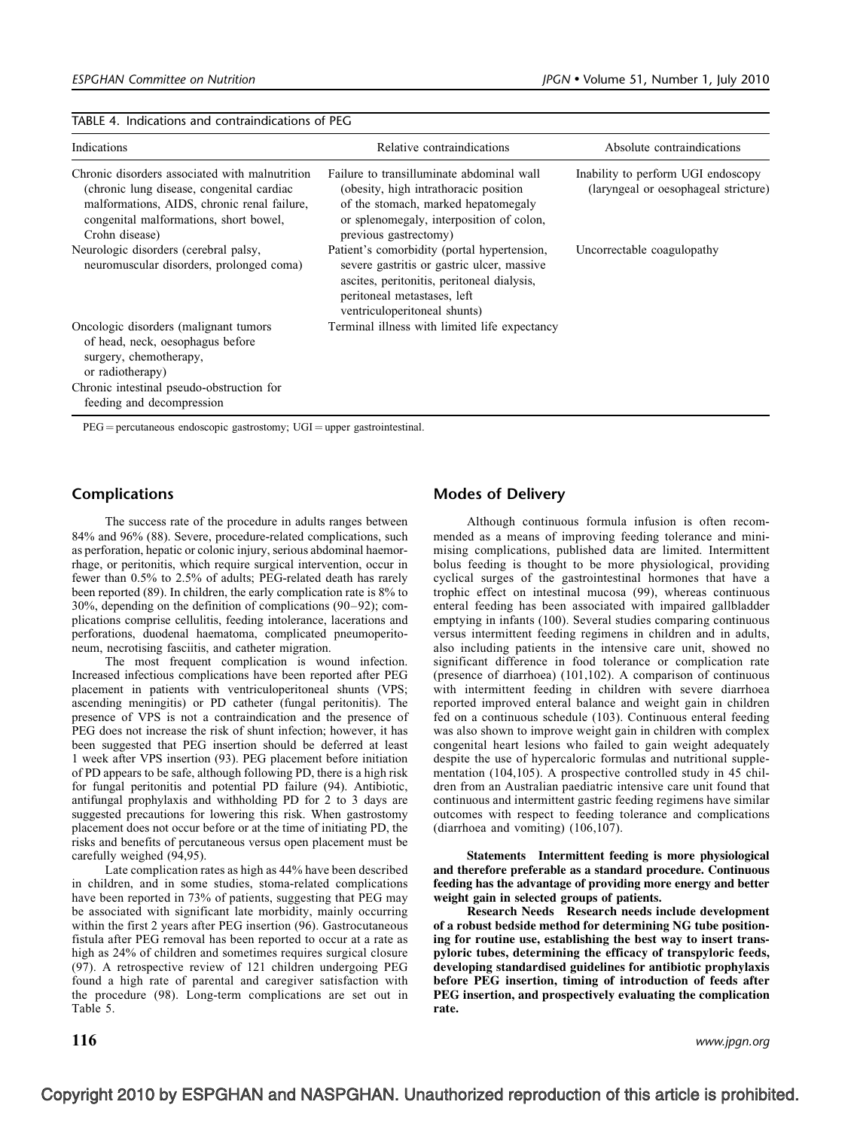<span id="page-6-0"></span>

| TABLE T. THUICAUVITS AND CONTRANTOICAUVITS OF FLO                                                                                                                                                      |                                                                                                                                                                                                        |                                                                            |  |  |  |  |
|--------------------------------------------------------------------------------------------------------------------------------------------------------------------------------------------------------|--------------------------------------------------------------------------------------------------------------------------------------------------------------------------------------------------------|----------------------------------------------------------------------------|--|--|--|--|
| <b>Indications</b>                                                                                                                                                                                     | Relative contraindications                                                                                                                                                                             | Absolute contraindications                                                 |  |  |  |  |
| Chronic disorders associated with malnutrition<br>(chronic lung disease, congenital cardiac<br>malformations, AIDS, chronic renal failure,<br>congenital malformations, short bowel,<br>Crohn disease) | Failure to transilluminate abdominal wall<br>(obesity, high intrathoracic position)<br>of the stomach, marked hepatomegaly<br>or splenomegaly, interposition of colon,<br>previous gastrectomy)        | Inability to perform UGI endoscopy<br>(laryngeal or oesophageal stricture) |  |  |  |  |
| Neurologic disorders (cerebral palsy,<br>neuromuscular disorders, prolonged coma)                                                                                                                      | Patient's comorbidity (portal hypertension,<br>severe gastritis or gastric ulcer, massive<br>ascites, peritonitis, peritoneal dialysis,<br>peritoneal metastases, left<br>ventriculoperitoneal shunts) | Uncorrectable coagulopathy                                                 |  |  |  |  |
| Oncologic disorders (malignant tumors)<br>of head, neck, oesophagus before<br>surgery, chemotherapy,<br>or radiotherapy)                                                                               | Terminal illness with limited life expectancy                                                                                                                                                          |                                                                            |  |  |  |  |
| Chronic intestinal pseudo-obstruction for<br>feeding and decompression                                                                                                                                 |                                                                                                                                                                                                        |                                                                            |  |  |  |  |

 $PEG =$  percutaneous endoscopic gastrostomy;  $UGI =$  upper gastrointestinal.

# Complications

The success rate of the procedure in adults ranges between 84% and 96% [\(88\).](#page-11-0) Severe, procedure-related complications, such as perforation, hepatic or colonic injury, serious abdominal haemorrhage, or peritonitis, which require surgical intervention, occur in fewer than 0.5% to 2.5% of adults; PEG-related death has rarely been reported [\(89\)](#page-11-0). In children, the early complication rate is 8% to 30%, depending on the definition of complications [\(90–92\)](#page-11-0); complications comprise cellulitis, feeding intolerance, lacerations and perforations, duodenal haematoma, complicated pneumoperitoneum, necrotising fasciitis, and catheter migration.

The most frequent complication is wound infection. Increased infectious complications have been reported after PEG placement in patients with ventriculoperitoneal shunts (VPS; ascending meningitis) or PD catheter (fungal peritonitis). The presence of VPS is not a contraindication and the presence of PEG does not increase the risk of shunt infection; however, it has been suggested that PEG insertion should be deferred at least 1 week after VPS insertion [\(93\)](#page-11-0). PEG placement before initiation of PD appears to be safe, although following PD, there is a high risk for fungal peritonitis and potential PD failure [\(94\)](#page-11-0). Antibiotic, antifungal prophylaxis and withholding PD for 2 to 3 days are suggested precautions for lowering this risk. When gastrostomy placement does not occur before or at the time of initiating PD, the risks and benefits of percutaneous versus open placement must be carefully weighed [\(94,95\).](#page-11-0)

Late complication rates as high as 44% have been described in children, and in some studies, stoma-related complications have been reported in 73% of patients, suggesting that PEG may be associated with significant late morbidity, mainly occurring within the first 2 years after PEG insertion [\(96\).](#page-11-0) Gastrocutaneous fistula after PEG removal has been reported to occur at a rate as high as 24% of children and sometimes requires surgical closure [\(97\)](#page-11-0). A retrospective review of 121 children undergoing PEG found a high rate of parental and caregiver satisfaction with the procedure [\(98\)](#page-11-0). Long-term complications are set out in [Table 5.](#page-7-0)

# Modes of Delivery

Although continuous formula infusion is often recommended as a means of improving feeding tolerance and minimising complications, published data are limited. Intermittent bolus feeding is thought to be more physiological, providing cyclical surges of the gastrointestinal hormones that have a trophic effect on intestinal mucosa [\(99\),](#page-11-0) whereas continuous enteral feeding has been associated with impaired gallbladder emptying in infants [\(100\)](#page-11-0). Several studies comparing continuous versus intermittent feeding regimens in children and in adults, also including patients in the intensive care unit, showed no significant difference in food tolerance or complication rate (presence of diarrhoea) [\(101,102\).](#page-11-0) A comparison of continuous with intermittent feeding in children with severe diarrhoea reported improved enteral balance and weight gain in children fed on a continuous schedule [\(103\)](#page-11-0). Continuous enteral feeding was also shown to improve weight gain in children with complex congenital heart lesions who failed to gain weight adequately despite the use of hypercaloric formulas and nutritional supplementation [\(104,105\).](#page-11-0) A prospective controlled study in 45 children from an Australian paediatric intensive care unit found that continuous and intermittent gastric feeding regimens have similar outcomes with respect to feeding tolerance and complications (diarrhoea and vomiting) [\(106,107\).](#page-11-0)

Statements Intermittent feeding is more physiological and therefore preferable as a standard procedure. Continuous feeding has the advantage of providing more energy and better weight gain in selected groups of patients.

Research Needs Research needs include development of a robust bedside method for determining NG tube positioning for routine use, establishing the best way to insert transpyloric tubes, determining the efficacy of transpyloric feeds, developing standardised guidelines for antibiotic prophylaxis before PEG insertion, timing of introduction of feeds after PEG insertion, and prospectively evaluating the complication rate.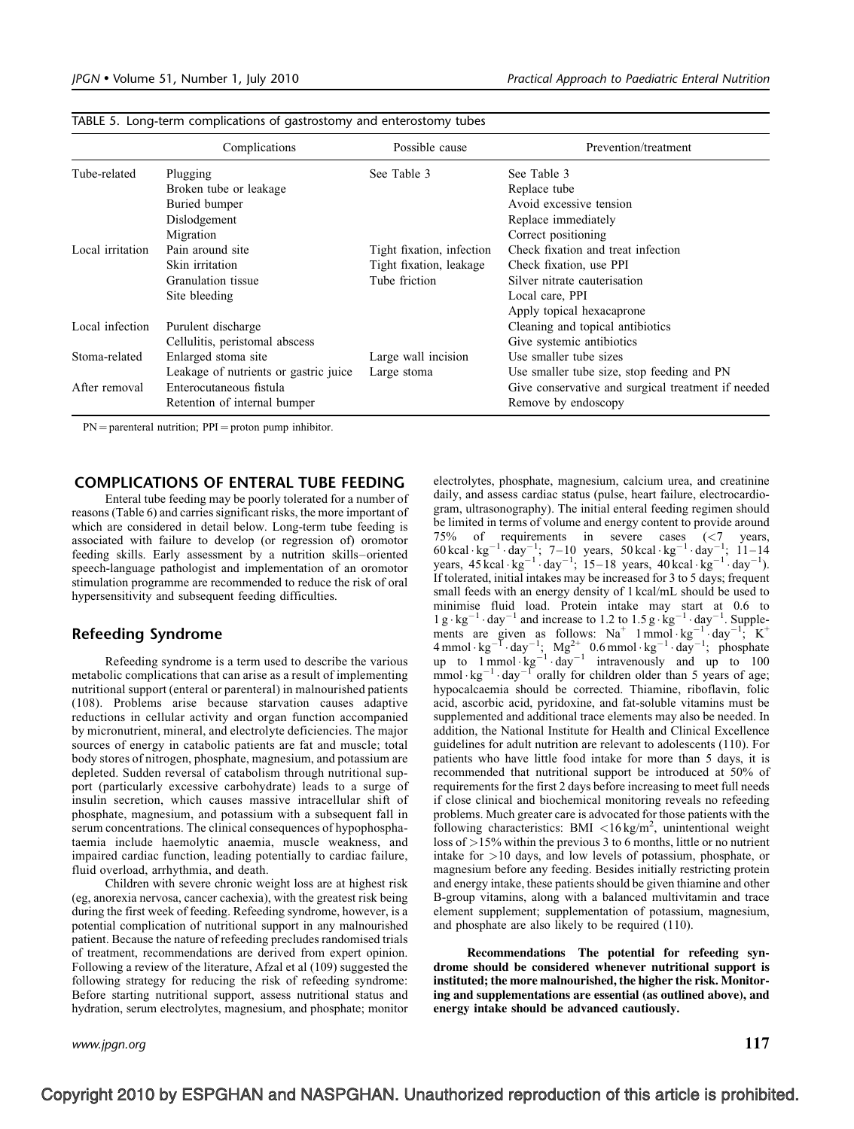|                  | Complications                         | Possible cause            | Prevention/treatment                               |
|------------------|---------------------------------------|---------------------------|----------------------------------------------------|
| Tube-related     | Plugging                              | See Table 3               | See Table 3                                        |
|                  | Broken tube or leakage                |                           | Replace tube                                       |
|                  | Buried bumper                         |                           | Avoid excessive tension                            |
|                  | Dislodgement                          |                           | Replace immediately                                |
|                  | Migration                             |                           | Correct positioning                                |
| Local irritation | Pain around site                      | Tight fixation, infection | Check fixation and treat infection                 |
|                  | Skin irritation                       | Tight fixation, leakage   | Check fixation, use PPI                            |
|                  | Granulation tissue                    | Tube friction             | Silver nitrate cauterisation                       |
|                  | Site bleeding                         |                           | Local care, PPI                                    |
|                  |                                       |                           | Apply topical hexacaprone                          |
| Local infection  | Purulent discharge                    |                           | Cleaning and topical antibiotics                   |
|                  | Cellulitis, peristomal abscess        |                           | Give systemic antibiotics                          |
| Stoma-related    | Enlarged stoma site                   | Large wall incision       | Use smaller tube sizes                             |
|                  | Leakage of nutrients or gastric juice | Large stoma               | Use smaller tube size, stop feeding and PN         |
| After removal    | Enterocutaneous fistula               |                           | Give conservative and surgical treatment if needed |
|                  | Retention of internal bumper          |                           | Remove by endoscopy                                |

<span id="page-7-0"></span>

|  |  | TABLE 5. Long-term complications of gastrostomy and enterostomy tubes |  |  |  |  |  |
|--|--|-----------------------------------------------------------------------|--|--|--|--|--|
|--|--|-----------------------------------------------------------------------|--|--|--|--|--|

 $PN =$  parenteral nutrition;  $PPI =$  proton pump inhibitor.

# COMPLICATIONS OF ENTERAL TUBE FEEDING

Enteral tube feeding may be poorly tolerated for a number of reasons ([Table 6](#page-8-0)) and carries significant risks, the more important of which are considered in detail below. Long-term tube feeding is associated with failure to develop (or regression of) oromotor feeding skills. Early assessment by a nutrition skills–oriented speech-language pathologist and implementation of an oromotor stimulation programme are recommended to reduce the risk of oral hypersensitivity and subsequent feeding difficulties.

# Refeeding Syndrome

Refeeding syndrome is a term used to describe the various metabolic complications that can arise as a result of implementing nutritional support (enteral or parenteral) in malnourished patients [\(108\).](#page-11-0) Problems arise because starvation causes adaptive reductions in cellular activity and organ function accompanied by micronutrient, mineral, and electrolyte deficiencies. The major sources of energy in catabolic patients are fat and muscle; total body stores of nitrogen, phosphate, magnesium, and potassium are depleted. Sudden reversal of catabolism through nutritional support (particularly excessive carbohydrate) leads to a surge of insulin secretion, which causes massive intracellular shift of phosphate, magnesium, and potassium with a subsequent fall in serum concentrations. The clinical consequences of hypophosphataemia include haemolytic anaemia, muscle weakness, and impaired cardiac function, leading potentially to cardiac failure, fluid overload, arrhythmia, and death.

Children with severe chronic weight loss are at highest risk (eg, anorexia nervosa, cancer cachexia), with the greatest risk being during the first week of feeding. Refeeding syndrome, however, is a potential complication of nutritional support in any malnourished patient. Because the nature of refeeding precludes randomised trials of treatment, recommendations are derived from expert opinion. Following a review of the literature, Afzal et al [\(109\)](#page-11-0) suggested the following strategy for reducing the risk of refeeding syndrome: Before starting nutritional support, assess nutritional status and hydration, serum electrolytes, magnesium, and phosphate; monitor

electrolytes, phosphate, magnesium, calcium urea, and creatinine daily, and assess cardiac status (pulse, heart failure, electrocardiogram, ultrasonography). The initial enteral feeding regimen should be limited in terms of volume and energy content to provide around 75% of requirements in severe cases  $(<7$  years, 60 kcal  $\text{kg}^{-1} \cdot \text{day}^{-1}$ ; 7–10 years, 50 kcal  $\text{kg}^{-1} \cdot \text{day}^{-1}$ ; 11–14 years, 45 kcal  $\text{kg}^{-1} \cdot \text{day}^{-1}$ ; 15–18 years, 40 kcal  $\text{kg}^{-1} \cdot \text{day}^{-1}$ ). If tolerated, initial intakes may be increased for 3 to 5 days; frequent small feeds with an energy density of 1 kcal/mL should be used to minimise fluid load. Protein intake may start at 0.6 to  $1 \text{ g} \cdot \text{kg}^{-1} \cdot \text{day}^{-1}$  and increase to 1.2 to  $1.5 \text{ g} \cdot \text{kg}^{-1} \cdot \text{day}^{-1}$ . Supplements are given as follows:  $Na^+$  1 mmol  $kg^{-1}$  day<sup>-1</sup>; K<sup>+</sup> 4 mmol·kg<sup>-T</sup>·day<sup>-1</sup>;  $Mg^{2+}$  0.6 mmol·kg<sup>-1</sup>·day<sup>-1</sup>; phosphate<br>up to 1 mmol·kg<sup>-1</sup>·day<sup>-1</sup> intravenously and up to 100 mmol  $kg^{-1}$  day<sup>-1</sup> orally for children older than 5 years of age; hypocalcaemia should be corrected. Thiamine, riboflavin, folic acid, ascorbic acid, pyridoxine, and fat-soluble vitamins must be supplemented and additional trace elements may also be needed. In addition, the National Institute for Health and Clinical Excellence guidelines for adult nutrition are relevant to adolescents [\(110\)](#page-11-0). For patients who have little food intake for more than 5 days, it is recommended that nutritional support be introduced at 50% of requirements for the first 2 days before increasing to meet full needs if close clinical and biochemical monitoring reveals no refeeding problems. Much greater care is advocated for those patients with the following characteristics: BMI <16 kg/m<sup>2</sup>, unintentional weight loss of >15% within the previous 3 to 6 months, little or no nutrient intake for >10 days, and low levels of potassium, phosphate, or magnesium before any feeding. Besides initially restricting protein and energy intake, these patients should be given thiamine and other B-group vitamins, along with a balanced multivitamin and trace element supplement; supplementation of potassium, magnesium, and phosphate are also likely to be required [\(110\).](#page-11-0)

Recommendations The potential for refeeding syndrome should be considered whenever nutritional support is instituted; the more malnourished, the higher the risk. Monitoring and supplementations are essential (as outlined above), and energy intake should be advanced cautiously.

www.jpgn.org  $\, 117$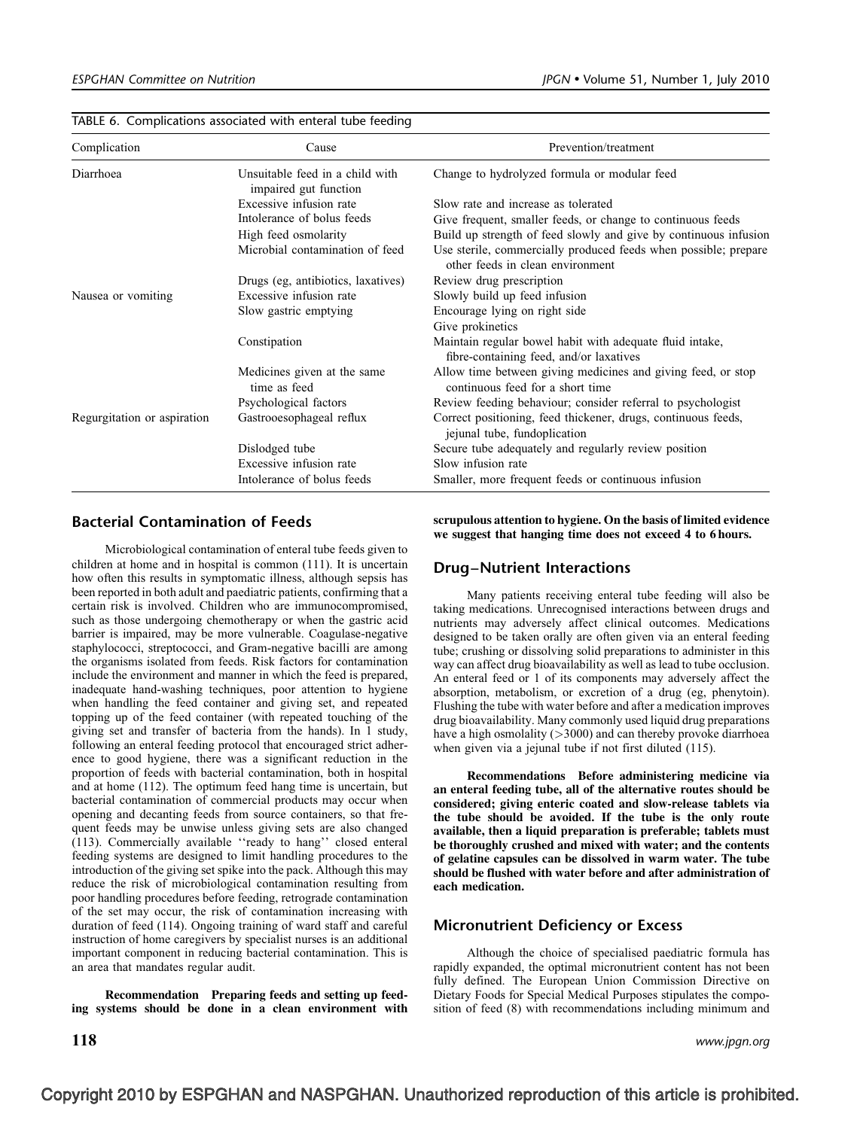| Complication                | Cause                                                    | Prevention/treatment                                                                                |  |  |  |  |
|-----------------------------|----------------------------------------------------------|-----------------------------------------------------------------------------------------------------|--|--|--|--|
| Diarrhoea                   | Unsuitable feed in a child with<br>impaired gut function | Change to hydrolyzed formula or modular feed                                                        |  |  |  |  |
|                             | Excessive infusion rate                                  | Slow rate and increase as tolerated                                                                 |  |  |  |  |
|                             | Intolerance of bolus feeds                               | Give frequent, smaller feeds, or change to continuous feeds                                         |  |  |  |  |
|                             | High feed osmolarity                                     | Build up strength of feed slowly and give by continuous infusion                                    |  |  |  |  |
|                             | Microbial contamination of feed                          | Use sterile, commercially produced feeds when possible; prepare<br>other feeds in clean environment |  |  |  |  |
|                             | Drugs (eg, antibiotics, laxatives)                       | Review drug prescription                                                                            |  |  |  |  |
| Nausea or vomiting          | Excessive infusion rate                                  | Slowly build up feed infusion                                                                       |  |  |  |  |
|                             | Slow gastric emptying                                    | Encourage lying on right side                                                                       |  |  |  |  |
|                             |                                                          | Give prokinetics                                                                                    |  |  |  |  |
|                             | Constipation                                             | Maintain regular bowel habit with adequate fluid intake,<br>fibre-containing feed, and/or laxatives |  |  |  |  |
|                             | Medicines given at the same<br>time as feed              | Allow time between giving medicines and giving feed, or stop<br>continuous feed for a short time    |  |  |  |  |
|                             | Psychological factors                                    | Review feeding behaviour; consider referral to psychologist                                         |  |  |  |  |
| Regurgitation or aspiration | Gastrooesophageal reflux                                 | Correct positioning, feed thickener, drugs, continuous feeds,<br>jejunal tube, fundoplication       |  |  |  |  |
|                             | Dislodged tube                                           | Secure tube adequately and regularly review position                                                |  |  |  |  |
|                             | Excessive infusion rate                                  | Slow infusion rate                                                                                  |  |  |  |  |
|                             | Intolerance of bolus feeds                               | Smaller, more frequent feeds or continuous infusion                                                 |  |  |  |  |

#### <span id="page-8-0"></span>TABLE 6. Complications associated with enteral tube feeding

# Bacterial Contamination of Feeds

Microbiological contamination of enteral tube feeds given to children at home and in hospital is common [\(111\).](#page-12-0) It is uncertain how often this results in symptomatic illness, although sepsis has been reported in both adult and paediatric patients, confirming that a certain risk is involved. Children who are immunocompromised, such as those undergoing chemotherapy or when the gastric acid barrier is impaired, may be more vulnerable. Coagulase-negative staphylococci, streptococci, and Gram-negative bacilli are among the organisms isolated from feeds. Risk factors for contamination include the environment and manner in which the feed is prepared, inadequate hand-washing techniques, poor attention to hygiene when handling the feed container and giving set, and repeated topping up of the feed container (with repeated touching of the giving set and transfer of bacteria from the hands). In 1 study, following an enteral feeding protocol that encouraged strict adherence to good hygiene, there was a significant reduction in the proportion of feeds with bacterial contamination, both in hospital and at home [\(112\)](#page-12-0). The optimum feed hang time is uncertain, but bacterial contamination of commercial products may occur when opening and decanting feeds from source containers, so that frequent feeds may be unwise unless giving sets are also changed [\(113\)](#page-12-0). Commercially available ''ready to hang'' closed enteral feeding systems are designed to limit handling procedures to the introduction of the giving set spike into the pack. Although this may reduce the risk of microbiological contamination resulting from poor handling procedures before feeding, retrograde contamination of the set may occur, the risk of contamination increasing with duration of feed [\(114\).](#page-12-0) Ongoing training of ward staff and careful instruction of home caregivers by specialist nurses is an additional important component in reducing bacterial contamination. This is an area that mandates regular audit.

Recommendation Preparing feeds and setting up feeding systems should be done in a clean environment with scrupulous attention to hygiene. On the basis of limited evidence we suggest that hanging time does not exceed 4 to 6 hours.

#### Drug–Nutrient Interactions

Many patients receiving enteral tube feeding will also be taking medications. Unrecognised interactions between drugs and nutrients may adversely affect clinical outcomes. Medications designed to be taken orally are often given via an enteral feeding tube; crushing or dissolving solid preparations to administer in this way can affect drug bioavailability as well as lead to tube occlusion. An enteral feed or 1 of its components may adversely affect the absorption, metabolism, or excretion of a drug (eg, phenytoin). Flushing the tube with water before and after a medication improves drug bioavailability. Many commonly used liquid drug preparations have a high osmolality (>3000) and can thereby provoke diarrhoea when given via a jejunal tube if not first diluted [\(115\).](#page-12-0)

Recommendations Before administering medicine via an enteral feeding tube, all of the alternative routes should be considered; giving enteric coated and slow-release tablets via the tube should be avoided. If the tube is the only route available, then a liquid preparation is preferable; tablets must be thoroughly crushed and mixed with water; and the contents of gelatine capsules can be dissolved in warm water. The tube should be flushed with water before and after administration of each medication.

# Micronutrient Deficiency or Excess

Although the choice of specialised paediatric formula has rapidly expanded, the optimal micronutrient content has not been fully defined. The European Union Commission Directive on Dietary Foods for Special Medical Purposes stipulates the composition of feed [\(8\)](#page-9-0) with recommendations including minimum and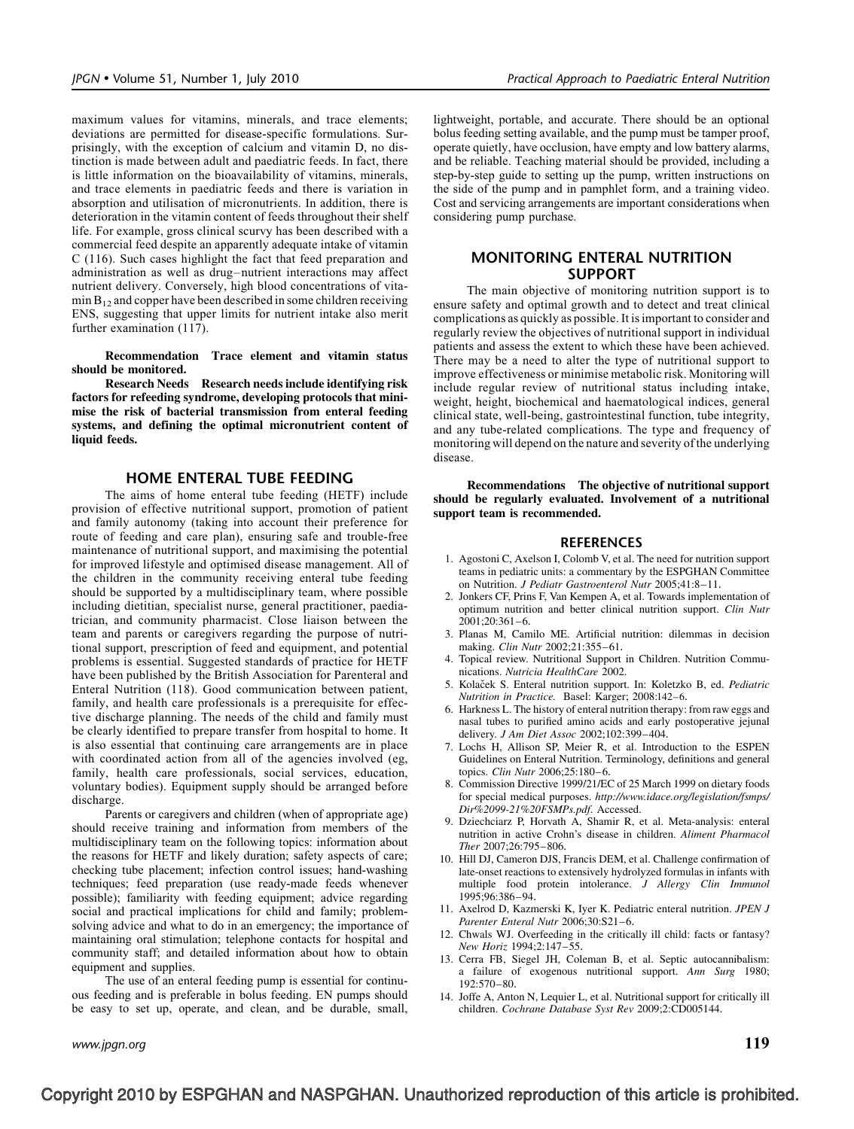<span id="page-9-0"></span>maximum values for vitamins, minerals, and trace elements; deviations are permitted for disease-specific formulations. Surprisingly, with the exception of calcium and vitamin D, no distinction is made between adult and paediatric feeds. In fact, there is little information on the bioavailability of vitamins, minerals, and trace elements in paediatric feeds and there is variation in absorption and utilisation of micronutrients. In addition, there is deterioration in the vitamin content of feeds throughout their shelf life. For example, gross clinical scurvy has been described with a commercial feed despite an apparently adequate intake of vitamin C [\(116\)](#page-12-0). Such cases highlight the fact that feed preparation and administration as well as drug–nutrient interactions may affect nutrient delivery. Conversely, high blood concentrations of vita- $\min B_{12}$  and copper have been described in some children receiving ENS, suggesting that upper limits for nutrient intake also merit further examination [\(117\)](#page-12-0).

Recommendation Trace element and vitamin status should be monitored.

Research Needs Research needs include identifying risk factors for refeeding syndrome, developing protocols that minimise the risk of bacterial transmission from enteral feeding systems, and defining the optimal micronutrient content of liquid feeds.

# HOME ENTERAL TUBE FEEDING

The aims of home enteral tube feeding (HETF) include provision of effective nutritional support, promotion of patient and family autonomy (taking into account their preference for route of feeding and care plan), ensuring safe and trouble-free maintenance of nutritional support, and maximising the potential for improved lifestyle and optimised disease management. All of the children in the community receiving enteral tube feeding should be supported by a multidisciplinary team, where possible including dietitian, specialist nurse, general practitioner, paediatrician, and community pharmacist. Close liaison between the team and parents or caregivers regarding the purpose of nutritional support, prescription of feed and equipment, and potential problems is essential. Suggested standards of practice for HETF have been published by the British Association for Parenteral and Enteral Nutrition [\(118\).](#page-12-0) Good communication between patient, family, and health care professionals is a prerequisite for effective discharge planning. The needs of the child and family must be clearly identified to prepare transfer from hospital to home. It is also essential that continuing care arrangements are in place with coordinated action from all of the agencies involved (eg, family, health care professionals, social services, education, voluntary bodies). Equipment supply should be arranged before discharge.

Parents or caregivers and children (when of appropriate age) should receive training and information from members of the multidisciplinary team on the following topics: information about the reasons for HETF and likely duration; safety aspects of care; checking tube placement; infection control issues; hand-washing techniques; feed preparation (use ready-made feeds whenever possible); familiarity with feeding equipment; advice regarding social and practical implications for child and family; problemsolving advice and what to do in an emergency; the importance of maintaining oral stimulation; telephone contacts for hospital and community staff; and detailed information about how to obtain equipment and supplies.

The use of an enteral feeding pump is essential for continuous feeding and is preferable in bolus feeding. EN pumps should be easy to set up, operate, and clean, and be durable, small, lightweight, portable, and accurate. There should be an optional bolus feeding setting available, and the pump must be tamper proof, operate quietly, have occlusion, have empty and low battery alarms, and be reliable. Teaching material should be provided, including a step-by-step guide to setting up the pump, written instructions on the side of the pump and in pamphlet form, and a training video. Cost and servicing arrangements are important considerations when considering pump purchase.

# MONITORING ENTERAL NUTRITION SUPPORT

The main objective of monitoring nutrition support is to ensure safety and optimal growth and to detect and treat clinical complications as quickly as possible. It is important to consider and regularly review the objectives of nutritional support in individual patients and assess the extent to which these have been achieved. There may be a need to alter the type of nutritional support to improve effectiveness or minimise metabolic risk. Monitoring will include regular review of nutritional status including intake, weight, height, biochemical and haematological indices, general clinical state, well-being, gastrointestinal function, tube integrity, and any tube-related complications. The type and frequency of monitoring will depend on the nature and severity of the underlying disease.

Recommendations The objective of nutritional support should be regularly evaluated. Involvement of a nutritional support team is recommended.

#### **REFERENCES**

- 1. Agostoni C, Axelson I, Colomb V, et al. The need for nutrition support teams in pediatric units: a commentary by the ESPGHAN Committee on Nutrition. J Pediatr Gastroenterol Nutr 2005;41:8–11.
- 2. Jonkers CF, Prins F, Van Kempen A, et al. Towards implementation of optimum nutrition and better clinical nutrition support. Clin Nutr 2001;20:361–6.
- 3. Planas M, Camilo ME. Artificial nutrition: dilemmas in decision making. Clin Nutr 2002;21:355–61.
- 4. Topical review. Nutritional Support in Children. Nutrition Communications. Nutricia HealthCare 2002.
- 5. Kolaček S. Enteral nutrition support. In: Koletzko B, ed. Pediatric Nutrition in Practice. Basel: Karger; 2008:142–6.
- 6. Harkness L. The history of enteral nutrition therapy: from raw eggs and nasal tubes to purified amino acids and early postoperative jejunal delivery. J Am Diet Assoc 2002;102:399–404.
- 7. Lochs H, Allison SP, Meier R, et al. Introduction to the ESPEN Guidelines on Enteral Nutrition. Terminology, definitions and general topics. Clin Nutr 2006;25:180–6.
- 8. Commission Directive 1999/21/EC of 25 March 1999 on dietary foods for special medical purposes. [http://www.idace.org/legislation/fsmps/](http://www.idace.org/legislation/fsmps/Dir%252099-21%2520FSMPs.pdf) [Dir%2099-21%20FSMPs.pdf](http://www.idace.org/legislation/fsmps/Dir%252099-21%2520FSMPs.pdf). Accessed.
- 9. Dziechciarz P, Horvath A, Shamir R, et al. Meta-analysis: enteral nutrition in active Crohn's disease in children. Aliment Pharmacol Ther 2007;26:795–806.
- 10. Hill DJ, Cameron DJS, Francis DEM, et al. Challenge confirmation of late-onset reactions to extensively hydrolyzed formulas in infants with multiple food protein intolerance. J Allergy Clin Immunol 1995;96:386–94.
- 11. Axelrod D, Kazmerski K, Iyer K. Pediatric enteral nutrition. JPEN J Parenter Enteral Nutr 2006;30:S21–6.
- 12. Chwals WJ. Overfeeding in the critically ill child: facts or fantasy? New Horiz 1994;2:147–55.
- 13. Cerra FB, Siegel JH, Coleman B, et al. Septic autocannibalism: a failure of exogenous nutritional support. Ann Surg 1980; 192:570–80.
- 14. Joffe A, Anton N, Lequier L, et al. Nutritional support for critically ill children. Cochrane Database Syst Rev 2009;2:CD005144.

www.jpgn.org 119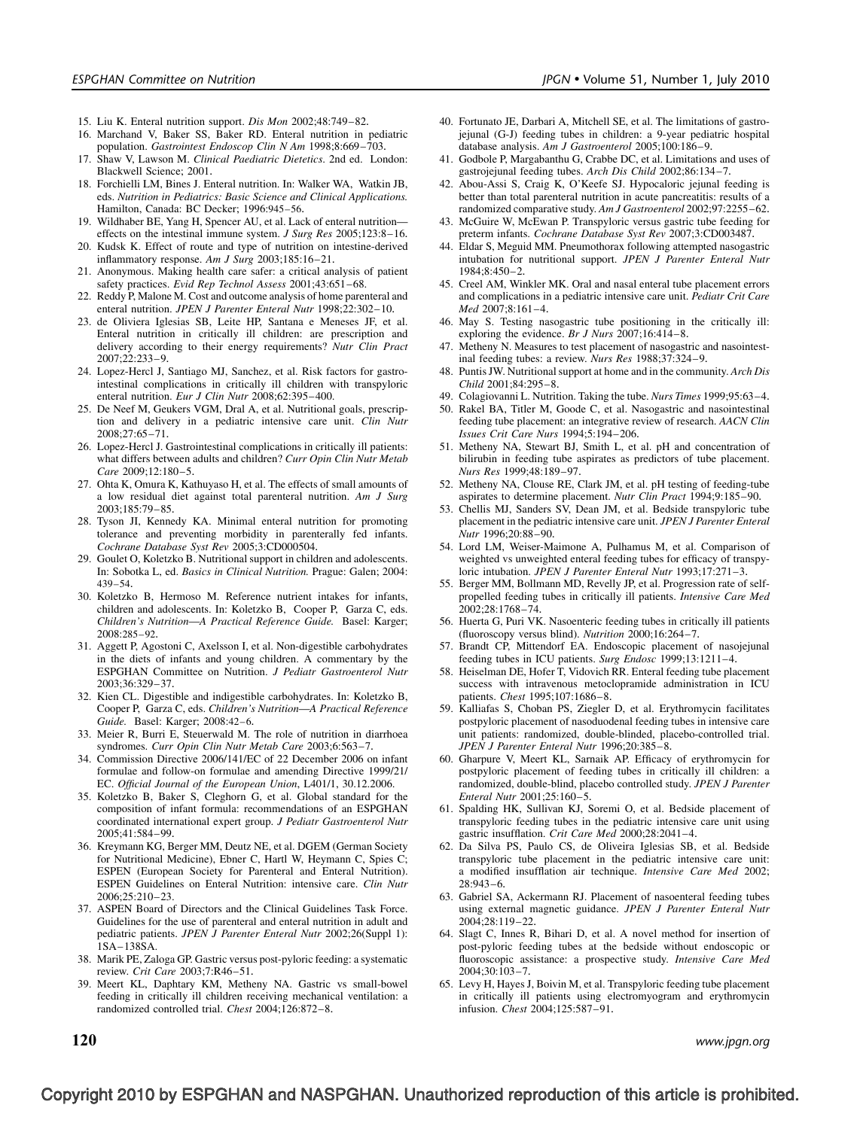- <span id="page-10-0"></span>15. Liu K. Enteral nutrition support. Dis Mon 2002;48:749–82.
- 16. Marchand V, Baker SS, Baker RD. Enteral nutrition in pediatric population. Gastrointest Endoscop Clin N Am 1998;8:669–703.
- 17. Shaw V, Lawson M. Clinical Paediatric Dietetics. 2nd ed. London: Blackwell Science; 2001.
- 18. Forchielli LM, Bines J. Enteral nutrition. In: Walker WA, Watkin JB, eds. Nutrition in Pediatrics: Basic Science and Clinical Applications. Hamilton, Canada: BC Decker; 1996:945–56.
- 19. Wildhaber BE, Yang H, Spencer AU, et al. Lack of enteral nutrition effects on the intestinal immune system. J Surg Res 2005;123:8–16.
- 20. Kudsk K. Effect of route and type of nutrition on intestine-derived inflammatory response. Am J Surg 2003;185:16–21.
- 21. Anonymous. Making health care safer: a critical analysis of patient safety practices. Evid Rep Technol Assess 2001;43:651–68.
- 22. Reddy P, Malone M. Cost and outcome analysis of home parenteral and enteral nutrition. JPEN J Parenter Enteral Nutr 1998;22:302-10.
- 23. de Oliviera Iglesias SB, Leite HP, Santana e Meneses JF, et al. Enteral nutrition in critically ill children: are prescription and delivery according to their energy requirements? Nutr Clin Pract 2007;22:233–9.
- 24. Lopez-Hercl J, Santiago MJ, Sanchez, et al. Risk factors for gastrointestinal complications in critically ill children with transpyloric enteral nutrition. Eur J Clin Nutr 2008;62:395–400.
- 25. De Neef M, Geukers VGM, Dral A, et al. Nutritional goals, prescription and delivery in a pediatric intensive care unit. Clin Nutr 2008;27:65–71.
- 26. Lopez-Hercl J. Gastrointestinal complications in critically ill patients: what differs between adults and children? Curr Opin Clin Nutr Metab Care 2009;12:180–5.
- 27. Ohta K, Omura K, Kathuyaso H, et al. The effects of small amounts of a low residual diet against total parenteral nutrition. Am J Surg 2003;185:79–85.
- 28. Tyson JI, Kennedy KA. Minimal enteral nutrition for promoting tolerance and preventing morbidity in parenterally fed infants. Cochrane Database Syst Rev 2005;3:CD000504.
- 29. Goulet O, Koletzko B. Nutritional support in children and adolescents. In: Sobotka L, ed. Basics in Clinical Nutrition. Prague: Galen; 2004: 439–54.
- 30. Koletzko B, Hermoso M. Reference nutrient intakes for infants, children and adolescents. In: Koletzko B, Cooper P, Garza C, eds. Children's Nutrition—A Practical Reference Guide. Basel: Karger; 2008:285–92.
- 31. Aggett P, Agostoni C, Axelsson I, et al. Non-digestible carbohydrates in the diets of infants and young children. A commentary by the ESPGHAN Committee on Nutrition. J Pediatr Gastroenterol Nutr 2003;36:329–37.
- 32. Kien CL. Digestible and indigestible carbohydrates. In: Koletzko B, Cooper P, Garza C, eds. Children's Nutrition—A Practical Reference Guide. Basel: Karger; 2008:42–6.
- 33. Meier R, Burri E, Steuerwald M. The role of nutrition in diarrhoea syndromes. Curr Opin Clin Nutr Metab Care 2003;6:563-7.
- 34. Commission Directive 2006/141/EC of 22 December 2006 on infant formulae and follow-on formulae and amending Directive 1999/21/ EC. Official Journal of the European Union, L401/1, 30.12.2006.
- 35. Koletzko B, Baker S, Cleghorn G, et al. Global standard for the composition of infant formula: recommendations of an ESPGHAN coordinated international expert group. J Pediatr Gastroenterol Nutr 2005;41:584–99.
- 36. Kreymann KG, Berger MM, Deutz NE, et al. DGEM (German Society for Nutritional Medicine), Ebner C, Hartl W, Heymann C, Spies C; ESPEN (European Society for Parenteral and Enteral Nutrition). ESPEN Guidelines on Enteral Nutrition: intensive care. Clin Nutr 2006;25:210–23.
- 37. ASPEN Board of Directors and the Clinical Guidelines Task Force. Guidelines for the use of parenteral and enteral nutrition in adult and pediatric patients. JPEN J Parenter Enteral Nutr 2002;26(Suppl 1): 1SA–138SA.
- 38. Marik PE, Zaloga GP. Gastric versus post-pyloric feeding: a systematic review. Crit Care 2003;7:R46–51.
- 39. Meert KL, Daphtary KM, Metheny NA. Gastric vs small-bowel feeding in critically ill children receiving mechanical ventilation: a randomized controlled trial. Chest 2004;126:872–8.
- 40. Fortunato JE, Darbari A, Mitchell SE, et al. The limitations of gastrojejunal (G-J) feeding tubes in children: a 9-year pediatric hospital database analysis. Am J Gastroenterol 2005;100:186–9.
- 41. Godbole P, Margabanthu G, Crabbe DC, et al. Limitations and uses of gastrojejunal feeding tubes. Arch Dis Child 2002;86:134–7.
- 42. Abou-Assi S, Craig K, O'Keefe SJ. Hypocaloric jejunal feeding is better than total parenteral nutrition in acute pancreatitis: results of a randomized comparative study. Am J Gastroenterol 2002;97:2255–62.
- 43. McGuire W, McEwan P. Transpyloric versus gastric tube feeding for preterm infants. Cochrane Database Syst Rev 2007;3:CD003487.
- 44. Eldar S, Meguid MM. Pneumothorax following attempted nasogastric intubation for nutritional support. JPEN J Parenter Enteral Nutr 1984;8:450–2.
- 45. Creel AM, Winkler MK. Oral and nasal enteral tube placement errors and complications in a pediatric intensive care unit. Pediatr Crit Care  $Med$  2007; $8:161-4$ .
- 46. May S. Testing nasogastric tube positioning in the critically ill: exploring the evidence. Br J Nurs 2007;16:414–8.
- 47. Metheny N. Measures to test placement of nasogastric and nasointestinal feeding tubes: a review. Nurs Res 1988;37:324–9.
- 48. Puntis JW. Nutritional support at home and in the community. Arch Dis Child 2001;84:295–8.
- 49. Colagiovanni L. Nutrition. Taking the tube. Nurs Times 1999;95:63–4.
- 50. Rakel BA, Titler M, Goode C, et al. Nasogastric and nasointestinal feeding tube placement: an integrative review of research. AACN Clin Issues Crit Care Nurs 1994;5:194–206.
- 51. Metheny NA, Stewart BJ, Smith L, et al. pH and concentration of bilirubin in feeding tube aspirates as predictors of tube placement. Nurs Res 1999;48:189–97.
- 52. Metheny NA, Clouse RE, Clark JM, et al. pH testing of feeding-tube aspirates to determine placement. Nutr Clin Pract 1994;9:185–90.
- 53. Chellis MJ, Sanders SV, Dean JM, et al. Bedside transpyloric tube placement in the pediatric intensive care unit. JPEN J Parenter Enteral Nutr 1996;20:88–90.
- 54. Lord LM, Weiser-Maimone A, Pulhamus M, et al. Comparison of weighted vs unweighted enteral feeding tubes for efficacy of transpyloric intubation. JPEN J Parenter Enteral Nutr 1993;17:271-3.
- 55. Berger MM, Bollmann MD, Revelly JP, et al. Progression rate of selfpropelled feeding tubes in critically ill patients. Intensive Care Med 2002;28:1768–74.
- 56. Huerta G, Puri VK. Nasoenteric feeding tubes in critically ill patients (fluoroscopy versus blind). Nutrition 2000;16:264–7.
- 57. Brandt CP, Mittendorf EA. Endoscopic placement of nasojejunal feeding tubes in ICU patients. Surg Endosc 1999;13:1211–4.
- 58. Heiselman DE, Hofer T, Vidovich RR. Enteral feeding tube placement success with intravenous metoclopramide administration in ICU patients. Chest 1995;107:1686–8.
- 59. Kalliafas S, Choban PS, Ziegler D, et al. Erythromycin facilitates postpyloric placement of nasoduodenal feeding tubes in intensive care unit patients: randomized, double-blinded, placebo-controlled trial. JPEN J Parenter Enteral Nutr 1996;20:385-8.
- 60. Gharpure V, Meert KL, Sarnaik AP. Efficacy of erythromycin for postpyloric placement of feeding tubes in critically ill children: a randomized, double-blind, placebo controlled study. JPEN J Parenter Enteral Nutr 2001;25:160–5.
- 61. Spalding HK, Sullivan KJ, Soremi O, et al. Bedside placement of transpyloric feeding tubes in the pediatric intensive care unit using gastric insufflation. Crit Care Med 2000;28:2041–4.
- 62. Da Silva PS, Paulo CS, de Oliveira Iglesias SB, et al. Bedside transpyloric tube placement in the pediatric intensive care unit: a modified insufflation air technique. Intensive Care Med 2002;  $28.943 - 6$ .
- 63. Gabriel SA, Ackermann RJ. Placement of nasoenteral feeding tubes using external magnetic guidance. JPEN J Parenter Enteral Nutr 2004;28:119–22.
- 64. Slagt C, Innes R, Bihari D, et al. A novel method for insertion of post-pyloric feeding tubes at the bedside without endoscopic or fluoroscopic assistance: a prospective study. Intensive Care Med 2004;30:103–7.
- 65. Levy H, Hayes J, Boivin M, et al. Transpyloric feeding tube placement in critically ill patients using electromyogram and erythromycin infusion. Chest 2004;125:587–91.

 $120 \hspace{0.2cm}$  www.jpgn.org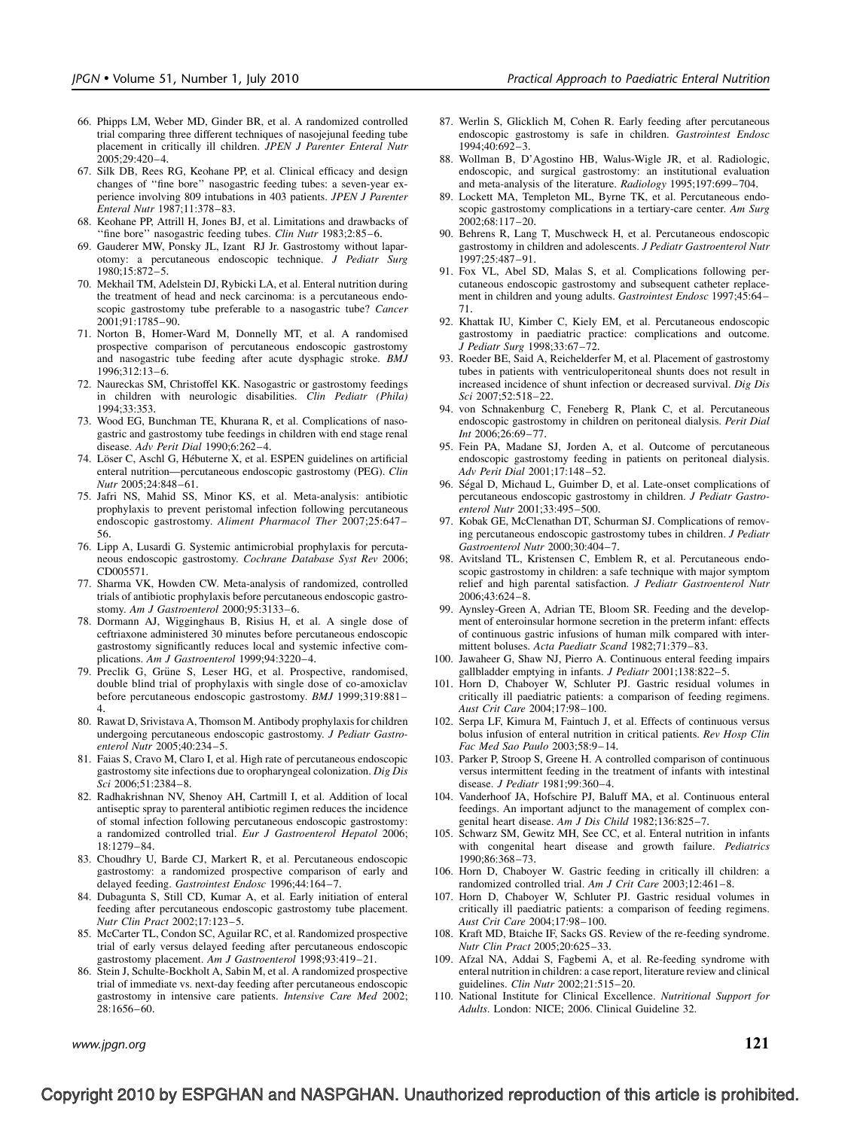- <span id="page-11-0"></span>66. Phipps LM, Weber MD, Ginder BR, et al. A randomized controlled trial comparing three different techniques of nasojejunal feeding tube placement in critically ill children. JPEN J Parenter Enteral Nutr 2005;29:420–4.
- 67. Silk DB, Rees RG, Keohane PP, et al. Clinical efficacy and design changes of ''fine bore'' nasogastric feeding tubes: a seven-year experience involving 809 intubations in 403 patients. JPEN J Parenter Enteral Nutr 1987;11:378–83.
- 68. Keohane PP, Attrill H, Jones BJ, et al. Limitations and drawbacks of 'fine bore" nasogastric feeding tubes. Clin Nutr 1983;2:85-6.
- 69. Gauderer MW, Ponsky JL, Izant RJ Jr. Gastrostomy without laparotomy: a percutaneous endoscopic technique. J Pediatr Surg 1980;15:872–5.
- 70. Mekhail TM, Adelstein DJ, Rybicki LA, et al. Enteral nutrition during the treatment of head and neck carcinoma: is a percutaneous endoscopic gastrostomy tube preferable to a nasogastric tube? Cancer 2001;91:1785–90.
- 71. Norton B, Homer-Ward M, Donnelly MT, et al. A randomised prospective comparison of percutaneous endoscopic gastrostomy and nasogastric tube feeding after acute dysphagic stroke. BMJ 1996;312:13–6.
- 72. Naureckas SM, Christoffel KK. Nasogastric or gastrostomy feedings in children with neurologic disabilities. Clin Pediatr (Phila) 1994;33:353.
- 73. Wood EG, Bunchman TE, Khurana R, et al. Complications of nasogastric and gastrostomy tube feedings in children with end stage renal disease. Adv Perit Dial 1990;6:262–4.
- 74. Löser C, Aschl G, Hébuterne X, et al. ESPEN guidelines on artificial enteral nutrition—percutaneous endoscopic gastrostomy (PEG). Clin Nutr 2005;24:848–61.
- 75. Jafri NS, Mahid SS, Minor KS, et al. Meta-analysis: antibiotic prophylaxis to prevent peristomal infection following percutaneous endoscopic gastrostomy. Aliment Pharmacol Ther 2007;25:647– 56.
- 76. Lipp A, Lusardi G. Systemic antimicrobial prophylaxis for percutaneous endoscopic gastrostomy. Cochrane Database Syst Rev 2006; CD005571.
- 77. Sharma VK, Howden CW. Meta-analysis of randomized, controlled trials of antibiotic prophylaxis before percutaneous endoscopic gastrostomy. Am J Gastroenterol 2000;95:3133–6.
- 78. Dormann AJ, Wigginghaus B, Risius H, et al. A single dose of ceftriaxone administered 30 minutes before percutaneous endoscopic gastrostomy significantly reduces local and systemic infective complications. Am J Gastroenterol 1999;94:3220–4.
- 79. Preclik G, Grüne S, Leser HG, et al. Prospective, randomised, double blind trial of prophylaxis with single dose of co-amoxiclav before percutaneous endoscopic gastrostomy. BMJ 1999;319:881– 4.
- 80. Rawat D, Srivistava A, Thomson M. Antibody prophylaxis for children undergoing percutaneous endoscopic gastrostomy. J Pediatr Gastroenterol Nutr 2005;40:234–5.
- 81. Faias S, Cravo M, Claro I, et al. High rate of percutaneous endoscopic gastrostomy site infections due to oropharyngeal colonization. Dig Dis Sci 2006;51:2384–8.
- 82. Radhakrishnan NV, Shenoy AH, Cartmill I, et al. Addition of local antiseptic spray to parenteral antibiotic regimen reduces the incidence of stomal infection following percutaneous endoscopic gastrostomy: a randomized controlled trial. Eur J Gastroenterol Hepatol 2006; 18:1279–84.
- 83. Choudhry U, Barde CJ, Markert R, et al. Percutaneous endoscopic gastrostomy: a randomized prospective comparison of early and delayed feeding. Gastrointest Endosc 1996;44:164–7.
- 84. Dubagunta S, Still CD, Kumar A, et al. Early initiation of enteral feeding after percutaneous endoscopic gastrostomy tube placement. Nutr Clin Pract 2002;17:123–5.
- 85. McCarter TL, Condon SC, Aguilar RC, et al. Randomized prospective trial of early versus delayed feeding after percutaneous endoscopic gastrostomy placement. Am J Gastroenterol 1998;93:419–21.
- 86. Stein J, Schulte-Bockholt A, Sabin M, et al. A randomized prospective trial of immediate vs. next-day feeding after percutaneous endoscopic gastrostomy in intensive care patients. Intensive Care Med 2002; 28:1656–60.
- 87. Werlin S, Glicklich M, Cohen R. Early feeding after percutaneous endoscopic gastrostomy is safe in children. Gastrointest Endosc 1994;40:692–3.
- 88. Wollman B, D'Agostino HB, Walus-Wigle JR, et al. Radiologic, endoscopic, and surgical gastrostomy: an institutional evaluation and meta-analysis of the literature. Radiology 1995;197:699–704.
- 89. Lockett MA, Templeton ML, Byrne TK, et al. Percutaneous endoscopic gastrostomy complications in a tertiary-care center. Am Surg 2002;68:117–20.
- 90. Behrens R, Lang T, Muschweck H, et al. Percutaneous endoscopic gastrostomy in children and adolescents. J Pediatr Gastroenterol Nutr 1997;25:487–91.
- 91. Fox VL, Abel SD, Malas S, et al. Complications following percutaneous endoscopic gastrostomy and subsequent catheter replacement in children and young adults. Gastrointest Endosc 1997;45:64– 71.
- 92. Khattak IU, Kimber C, Kiely EM, et al. Percutaneous endoscopic gastrostomy in paediatric practice: complications and outcome. J Pediatr Surg 1998;33:67–72.
- 93. Roeder BE, Said A, Reichelderfer M, et al. Placement of gastrostomy tubes in patients with ventriculoperitoneal shunts does not result in increased incidence of shunt infection or decreased survival. Dig Dis  $Sci 2007.52.518 - 22.$
- 94. von Schnakenburg C, Feneberg R, Plank C, et al. Percutaneous endoscopic gastrostomy in children on peritoneal dialysis. Perit Dial Int 2006;26:69–77.
- 95. Fein PA, Madane SJ, Jorden A, et al. Outcome of percutaneous endoscopic gastrostomy feeding in patients on peritoneal dialysis. Adv Perit Dial 2001;17:148–52.
- 96. Ségal D, Michaud L, Guimber D, et al. Late-onset complications of percutaneous endoscopic gastrostomy in children. J Pediatr Gastroenterol Nutr 2001;33:495–500.
- 97. Kobak GE, McClenathan DT, Schurman SJ. Complications of removing percutaneous endoscopic gastrostomy tubes in children. J Pediatr Gastroenterol Nutr 2000;30:404–7.
- 98. Avitsland TL, Kristensen C, Emblem R, et al. Percutaneous endoscopic gastrostomy in children: a safe technique with major symptom relief and high parental satisfaction. J Pediatr Gastroenterol Nutr 2006;43:624–8.
- 99. Aynsley-Green A, Adrian TE, Bloom SR. Feeding and the development of enteroinsular hormone secretion in the preterm infant: effects of continuous gastric infusions of human milk compared with intermittent boluses. Acta Paediatr Scand 1982;71:379–83.
- 100. Jawaheer G, Shaw NJ, Pierro A. Continuous enteral feeding impairs gallbladder emptying in infants. J Pediatr 2001;138:822–5.
- 101. Horn D, Chaboyer W, Schluter PJ. Gastric residual volumes in critically ill paediatric patients: a comparison of feeding regimens. Aust Crit Care 2004;17:98–100.
- 102. Serpa LF, Kimura M, Faintuch J, et al. Effects of continuous versus bolus infusion of enteral nutrition in critical patients. Rev Hosp Clin Fac Med Sao Paulo 2003;58:9–14.
- 103. Parker P, Stroop S, Greene H. A controlled comparison of continuous versus intermittent feeding in the treatment of infants with intestinal disease. J Pediatr 1981;99:360–4.
- 104. Vanderhoof JA, Hofschire PJ, Baluff MA, et al. Continuous enteral feedings. An important adjunct to the management of complex congenital heart disease. Am J Dis Child 1982;136:825–7.
- 105. Schwarz SM, Gewitz MH, See CC, et al. Enteral nutrition in infants with congenital heart disease and growth failure. Pediatrics 1990;86:368–73.
- 106. Horn D, Chaboyer W. Gastric feeding in critically ill children: a randomized controlled trial. Am J Crit Care 2003;12:461–8.
- 107. Horn D, Chaboyer W, Schluter PJ. Gastric residual volumes in critically ill paediatric patients: a comparison of feeding regimens. Aust Crit Care 2004;17:98–100.
- 108. Kraft MD, Btaiche IF, Sacks GS. Review of the re-feeding syndrome. Nutr Clin Pract 2005;20:625–33.
- 109. Afzal NA, Addai S, Fagbemi A, et al. Re-feeding syndrome with enteral nutrition in children: a case report, literature review and clinical guidelines. Clin Nutr 2002;21:515–20.
- 110. National Institute for Clinical Excellence. Nutritional Support for Adults. London: NICE; 2006. Clinical Guideline 32.

www.jpgn.org 121